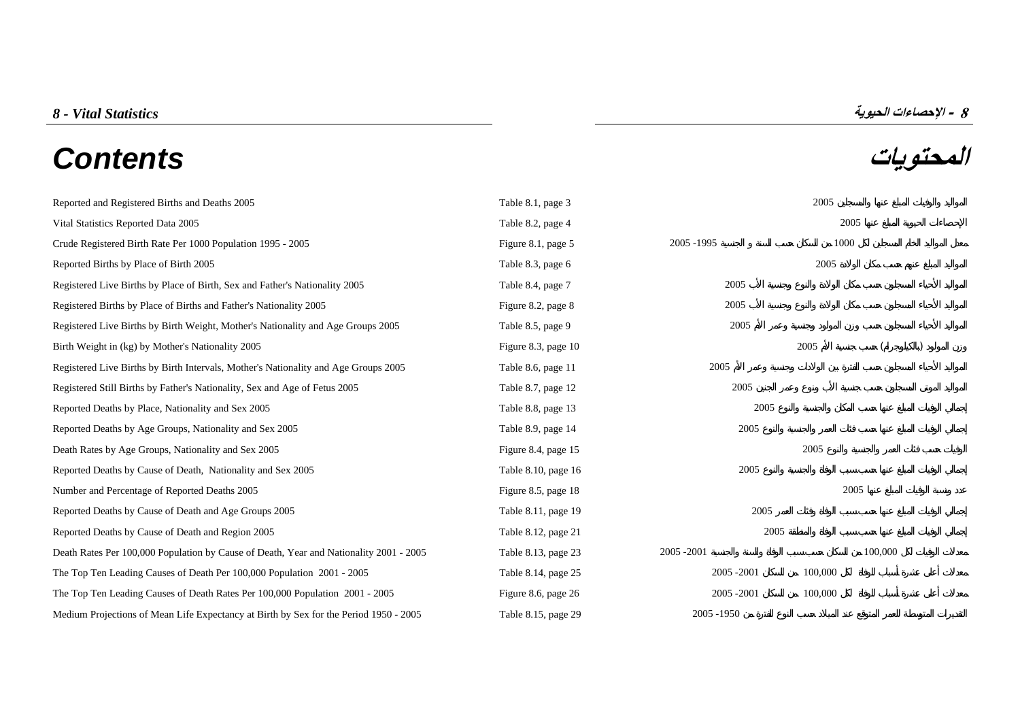# **المحتويات** *Contents*



| Reported and Registered Births and Deaths 2005                                         | Table 8.1, page 3   |             | 2005    |         |  |  |  |
|----------------------------------------------------------------------------------------|---------------------|-------------|---------|---------|--|--|--|
| Vital Statistics Reported Data 2005                                                    | Table 8.2, page 4   |             |         | 2005    |  |  |  |
| Crude Registered Birth Rate Per 1000 Population 1995 - 2005                            | Figure 8.1, page 5  | 2005 - 1995 |         |         |  |  |  |
| Reported Births by Place of Birth 2005                                                 | Table 8.3, page 6   |             |         |         |  |  |  |
| Registered Live Births by Place of Birth, Sex and Father's Nationality 2005            | Table 8.4, page 7   | 2005        |         |         |  |  |  |
| Registered Births by Place of Births and Father's Nationality 2005                     | Figure 8.2, page 8  | 2005        |         |         |  |  |  |
| Registered Live Births by Birth Weight, Mother's Nationality and Age Groups 2005       | Table 8.5, page 9   | 2005        |         |         |  |  |  |
| Birth Weight in (kg) by Mother's Nationality 2005                                      | Figure 8.3, page 10 |             | 2005    |         |  |  |  |
| Registered Live Births by Birth Intervals, Mother's Nationality and Age Groups 2005    | Table 8.6, page 11  | 2005        |         |         |  |  |  |
| Registered Still Births by Father's Nationality, Sex and Age of Fetus 2005             | Table 8.7, page 12  | 2005        |         |         |  |  |  |
| Reported Deaths by Place, Nationality and Sex 2005                                     | Table 8.8, page 13  | 2005        |         |         |  |  |  |
| Reported Deaths by Age Groups, Nationality and Sex 2005                                | Table 8.9, page 14  | 2005        |         |         |  |  |  |
| Death Rates by Age Groups, Nationality and Sex 2005                                    | Figure 8.4, page 15 |             | 2005    |         |  |  |  |
| Reported Deaths by Cause of Death, Nationality and Sex 2005                            | Table 8.10, page 16 | 2005        |         |         |  |  |  |
| Number and Percentage of Reported Deaths 2005                                          | Figure 8.5, page 18 |             |         | 2005    |  |  |  |
| Reported Deaths by Cause of Death and Age Groups 2005                                  | Table 8.11, page 19 | 2005        |         |         |  |  |  |
| Reported Deaths by Cause of Death and Region 2005                                      | Table 8.12, page 21 | 2005        |         |         |  |  |  |
| Death Rates Per 100,000 Population by Cause of Death, Year and Nationality 2001 - 2005 | Table 8.13, page 23 | 2005 - 2001 |         | 100,000 |  |  |  |
| The Top Ten Leading Causes of Death Per 100,000 Population 2001 - 2005                 | Table 8.14, page 25 | 2005 - 2001 | 100,000 |         |  |  |  |
| The Top Ten Leading Causes of Death Rates Per 100,000 Population 2001 - 2005           | Figure 8.6, page 26 | 2005 - 2001 | 100,000 |         |  |  |  |
|                                                                                        |                     |             |         |         |  |  |  |

[Medium Projections of Mean Life Expectancy at Birth by Sex for the Period 1950 - 2005 Table 8.15, page 29 2005](#page-28-0) - 2005 - 1950

# **8 - الإحصاءات الحيوية** *Statistics Vital - 8*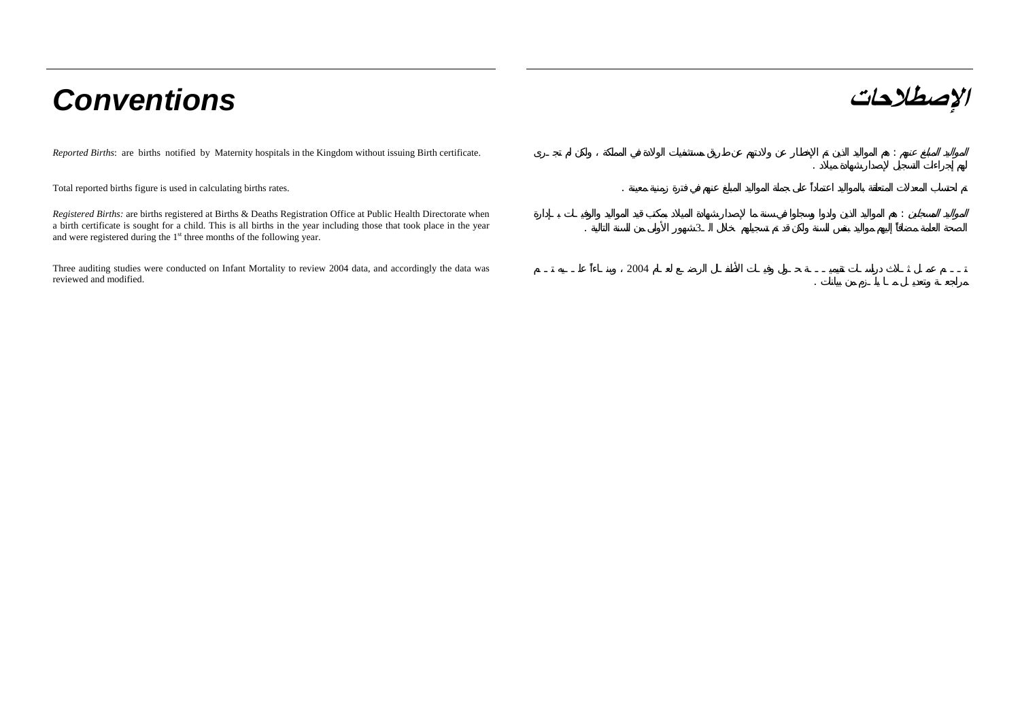# **الإصطلاحات** *Conventions*

*Reported Births*: are births notified by Maternity hospitals in the Kingdom without issuing Birth certificate. :

Total reported births figure is used in calculating births rates. .

*Registered Births:* are births registered at Births & Deaths Registration Office at Public Health Directorate when a birth certificate is sought for a child. This is all births in the year including those that took place in the year and were registered during the 1<sup>st</sup> three months of the following year.

Three auditing studies were conducted on Infant Mortality to review 2004 data, and accordingly the data was reviewed and modified.

|                                     |                | the contract of the contract of the contract of the | $\sim 10$         |
|-------------------------------------|----------------|-----------------------------------------------------|-------------------|
| the contract of the contract of the |                |                                                     | <b>Controller</b> |
| $\cdot$                             | $\overline{3}$ |                                                     |                   |

2004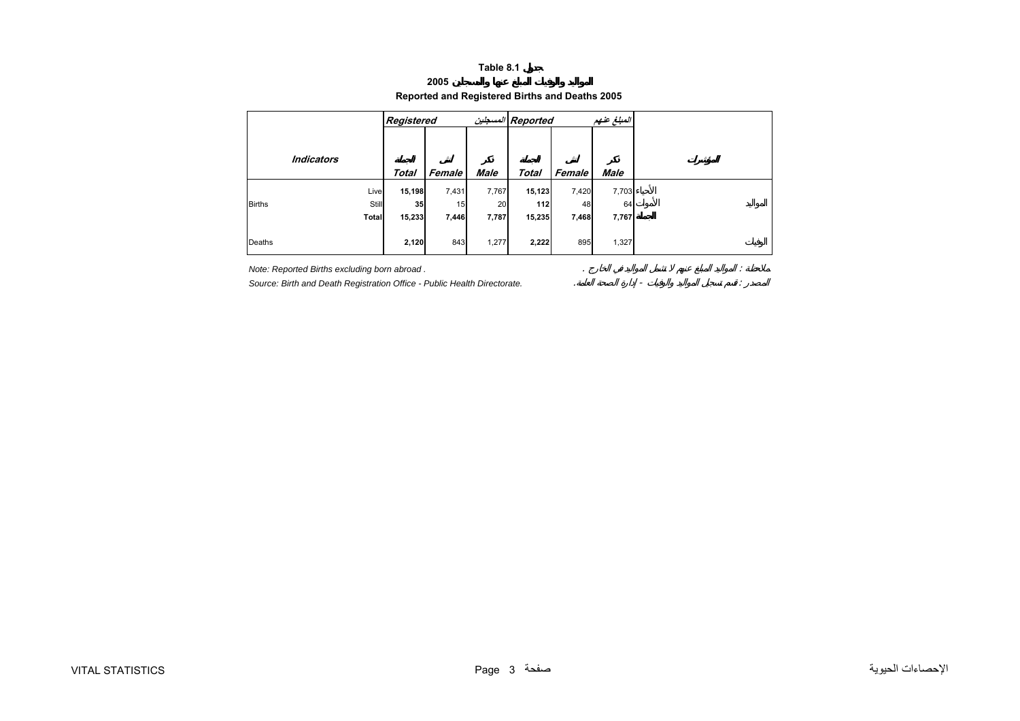### **2005**

## **Reported and Registered Births and Deaths 2005**

<span id="page-2-0"></span>

|                   |              | Registered   |        |             | Reported المسجلين |        | المبلغ عنهم |  |
|-------------------|--------------|--------------|--------|-------------|-------------------|--------|-------------|--|
|                   |              |              |        |             |                   |        |             |  |
| <b>Indicators</b> |              |              |        |             |                   |        |             |  |
|                   |              | <b>Total</b> | Female | <b>Male</b> | <b>Total</b>      | Female | <b>Male</b> |  |
|                   | Live         | 15,198       | 7,431  | 7,767       | 15,123            | 7,420  | 7,703       |  |
| <b>Births</b>     | <b>Still</b> | 35           | 15     | 20          | 112               | 48     | 64          |  |
|                   | <b>Total</b> | 15,233       | 7,446  | 7,787       | 15,235            | 7,468  | 7,767       |  |
|                   |              |              |        |             |                   |        |             |  |
| Deaths            |              | 2,120        | 843    | 1,277       | 2,222             | 895    | 1,327       |  |

*Note: Reported Births excluding born abroad .* . :

*Source: Birth and Death Registration Office - Public Health Directorate.* . - :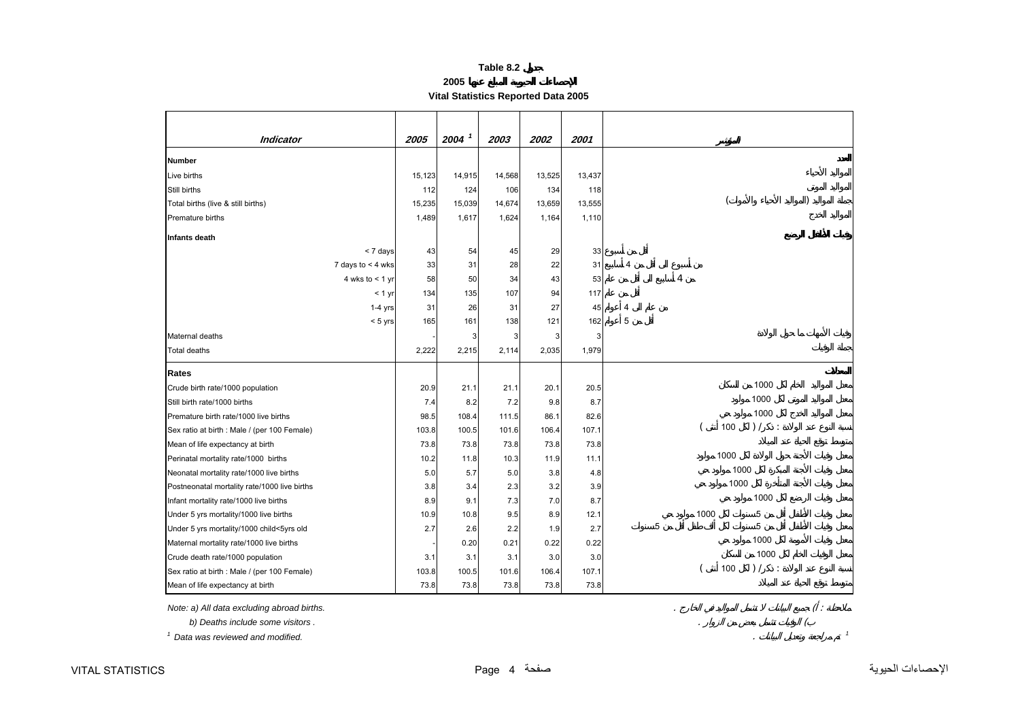**2005**

**Vital Statistics Reported Data 2005** 

<span id="page-3-0"></span>

| <b>Indicator</b>                             | 2005   | $2004$ <sup>1</sup> | 2003   | 2002   | 2001   |                         |
|----------------------------------------------|--------|---------------------|--------|--------|--------|-------------------------|
| <b>Number</b>                                |        |                     |        |        |        |                         |
| Live births                                  | 15,123 | 14,915              | 14,568 | 13,525 | 13,437 |                         |
| Still births                                 | 112    | 124                 | 106    | 134    | 118    |                         |
| Total births (live & still births)           | 15,235 | 15,039              | 14,674 | 13,659 | 13,555 |                         |
| Premature births                             | 1,489  | 1,617               | 1,624  | 1,164  | 1,110  |                         |
| Infants death                                |        |                     |        |        |        |                         |
| < 7 days                                     | 43     | 54                  | 45     | 29     | 33     |                         |
| 7 days to $<$ 4 wks                          | 33     | 31                  | 28     | 22     | 31     | 4                       |
| 4 wks to $<$ 1 yr                            | 58     | 50                  | 34     | 43     | 53     | 4                       |
| $< 1$ yr                                     | 134    | 135                 | 107    | 94     | 117    |                         |
| $1-4$ yrs                                    | 31     | 26                  | 31     | 27     | 45     | 4                       |
| $< 5$ yrs                                    | 165    | 161                 | 138    | 121    | 162    | 5                       |
| Maternal deaths                              |        | 3                   | 3      | 3      | 3      |                         |
| <b>Total deaths</b>                          | 2,222  | 2,215               | 2,114  | 2,035  | 1,979  |                         |
| Rates                                        |        |                     |        |        |        |                         |
| Crude birth rate/1000 population             | 20.9   | 21.1                | 21.1   | 20.1   | 20.5   | 1000                    |
| Still birth rate/1000 births                 | 7.4    | 8.2                 | 7.2    | 9.8    | 8.7    | 1000                    |
| Premature birth rate/1000 live births        | 98.5   | 108.4               | 111.5  | 86.1   | 82.6   | 1000                    |
| Sex ratio at birth : Male / (per 100 Female) | 103.8  | 100.5               | 101.6  | 106.4  | 107.1  | 100<br>) /<br>$\cdot$ : |
| Mean of life expectancy at birth             | 73.8   | 73.8                | 73.8   | 73.8   | 73.8   |                         |
| Perinatal mortality rate/1000 births         | 10.2   | 11.8                | 10.3   | 11.9   | 11.1   | 1000                    |
| Neonatal mortality rate/1000 live births     | 5.0    | 5.7                 | 5.0    | 3.8    | 4.8    | 1000                    |
| Postneonatal mortality rate/1000 live births | 3.8    | 3.4                 | 2.3    | 3.2    | 3.9    | 1000                    |
| Infant mortality rate/1000 live births       | 8.9    | 9.1                 | 7.3    | 7.0    | 8.7    | 1000                    |
| Under 5 yrs mortality/1000 live births       | 10.9   | 10.8                | 9.5    | 8.9    | 12.1   | 1000<br>5               |
| Under 5 yrs mortality/1000 child<5yrs old    | 2.7    | 2.6                 | 2.2    | 1.9    | 2.7    | 5<br>5                  |
| Maternal mortality rate/1000 live births     |        | 0.20                | 0.21   | 0.22   | 0.22   | 1000                    |
| Crude death rate/1000 population             | 3.1    | 3.1                 | 3.1    | 3.0    | 3.0    | 1000                    |
| Sex ratio at birth : Male / (per 100 Female) | 103.8  | 100.5               | 101.6  | 106.4  | 107.1  | 100<br>) /<br>$\cdot$ : |
| Mean of life expectancy at birth             | 73.8   | 73.8                | 73.8   | 73.8   | 73.8   |                         |

*Note: a) All data excluding abroad births.* . ( :

 *b) Deaths include some visitors .* . (

*1 Data was reviewed and modified.*. *<sup>1</sup>*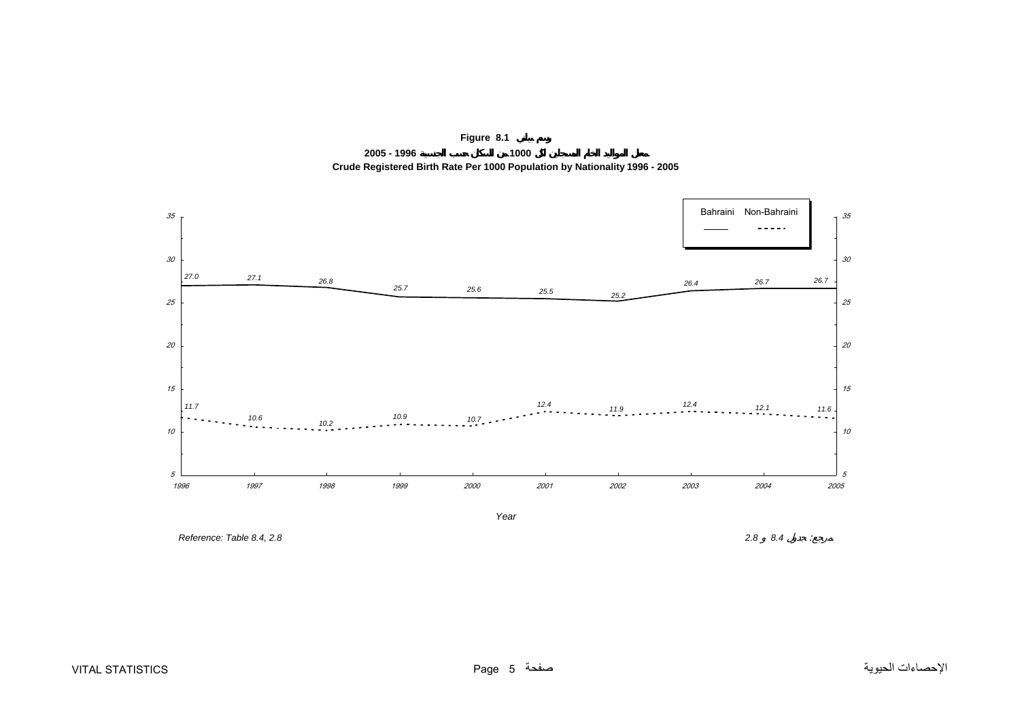<span id="page-4-0"></span>

**Figure 8.1 2005 - 1996 1000 Crude Registered Birth Rate Per 1000 Population by Nationality 1996 - 2005**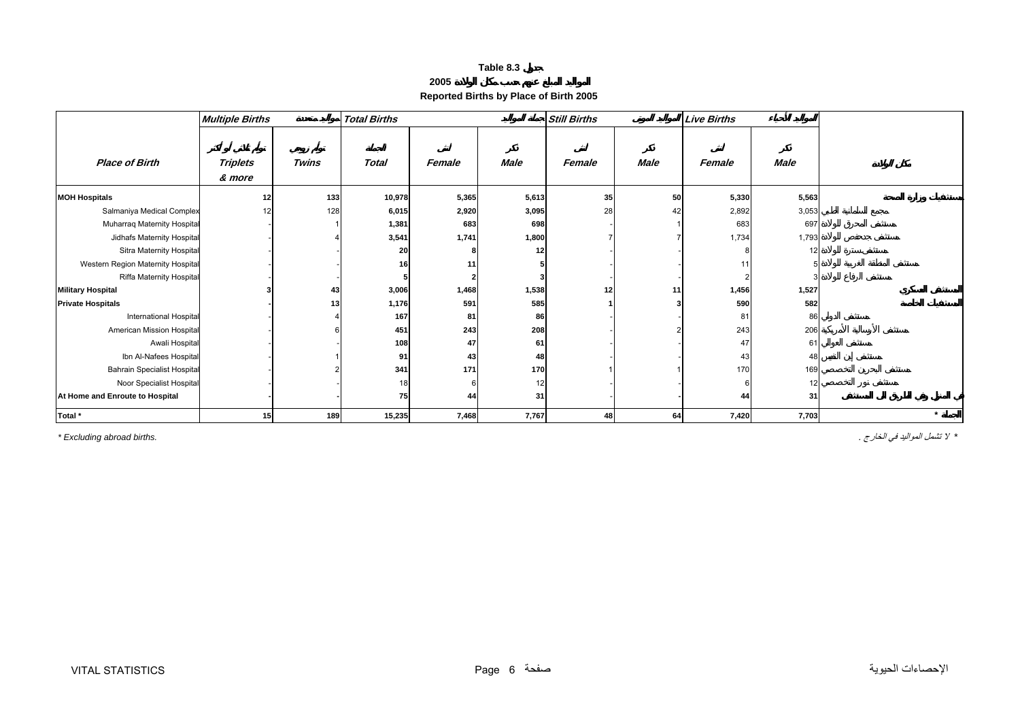| 2005 |  |
|------|--|
|------|--|

**Reported Births by Place of Birth 2005** 

<span id="page-5-0"></span>

|                                    | <b>Multiple Births</b> |              | <b>Total Births</b> |        |             | <b>Still Births</b> |             | <b>Live Births</b> |             |         |
|------------------------------------|------------------------|--------------|---------------------|--------|-------------|---------------------|-------------|--------------------|-------------|---------|
| <b>Place of Birth</b>              | Triplets<br>& more     | <b>Twins</b> | Total               | Female | <b>Male</b> | Female              | <b>Male</b> | Female             | <b>Male</b> |         |
| <b>MOH Hospitals</b>               | 12                     | 133          | 10,978              | 5,365  | 5,613       | 35                  | 50          | 5,330              | 5,563       |         |
| Salmaniya Medical Complex          |                        | 128          | 6,015               | 2,920  | 3,095       | 28                  | 42          | 2,892              | 3,053       |         |
| Muharraq Maternity Hospital        |                        |              | 1,381               | 683    | 698         |                     |             | 683                | 697         |         |
| Jidhafs Maternity Hospital         |                        |              | 3,541               | 1,741  | 1,800       |                     |             | 1,734              | 1,793       |         |
| Sitra Maternity Hospital           |                        |              | 20                  |        |             |                     |             |                    | 12          |         |
| Western Region Maternity Hospital  |                        |              | 16                  | 11     |             |                     |             | $1^{\circ}$        |             |         |
| Riffa Maternity Hospital           |                        |              |                     |        |             |                     |             |                    |             |         |
| <b>Military Hospital</b>           |                        | 43           | 3,006               | 1,468  | 1,538       | 12                  | 11          | 1,456              | 1,527       |         |
| <b>Private Hospitals</b>           |                        | 13           | 1,176               | 591    | 585         |                     |             | 590                | 582         |         |
| <b>International Hospital</b>      |                        |              | 167                 | 81     | 86          |                     |             | 81                 | 86          |         |
| American Mission Hospital          |                        |              | 451                 | 243    | 208         |                     |             | 243                | 206         |         |
| Awali Hospital                     |                        |              | 108                 | 47     | 61          |                     |             | 47                 | 61          |         |
| Ibn Al-Nafees Hospital             |                        |              | 91                  | 43     | 48          |                     |             | 43                 | 48          |         |
| <b>Bahrain Specialist Hospital</b> |                        |              | 341                 | 171    | 170         |                     |             | 170                | 169         |         |
| Noor Specialist Hospital           |                        |              |                     |        | 12          |                     |             |                    | 12          |         |
| At Home and Enroute to Hospital    |                        |              | 75                  | 44     | 31          |                     |             | 44                 | 31          |         |
| Total *                            | 15                     | 189          | 15,235              | 7,468  | 7,767       | 48                  | 64          | 7,420              | 7,703       | $\star$ |

*\** لا تشمل المواليد في الخارج . *.births abroad Excluding\**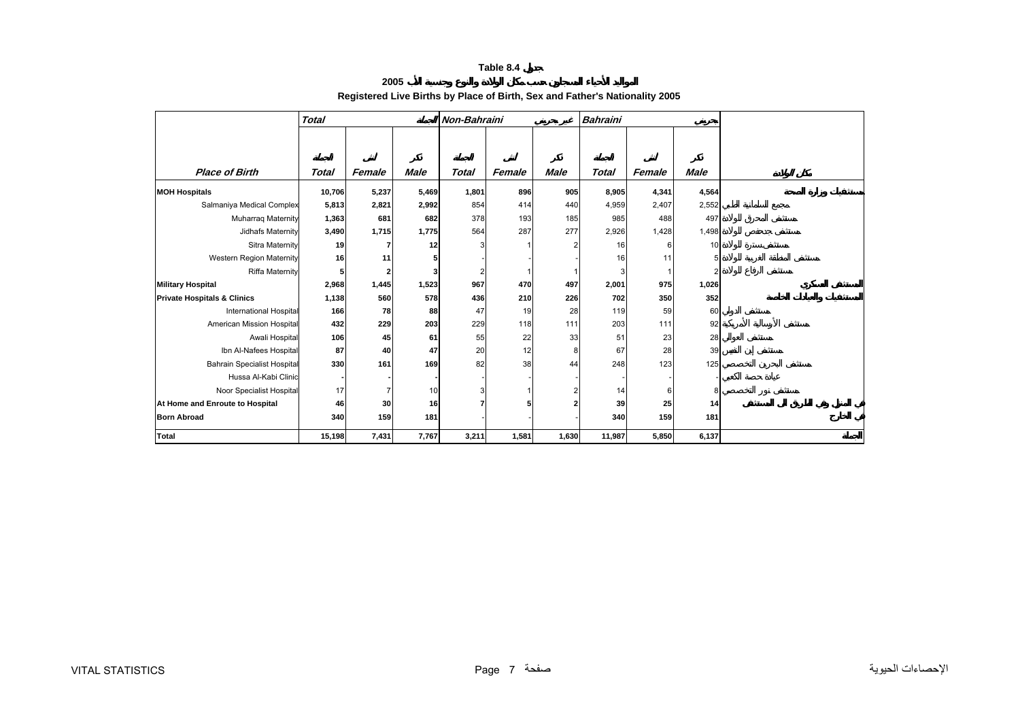**2005**

# **Registered Live Births by Place of Birth, Sex and Father's Nationality 2005**

|                                        | <b>Total</b> |        |             | Non-Bahraini |        |             | Bahraini     |        |             |
|----------------------------------------|--------------|--------|-------------|--------------|--------|-------------|--------------|--------|-------------|
|                                        |              |        |             |              |        |             |              |        |             |
|                                        |              |        |             |              |        |             |              |        |             |
| <b>Place of Birth</b>                  | Total        | Female | <b>Male</b> | <b>Total</b> | Female | <b>Male</b> | <b>Total</b> | Female | <b>Male</b> |
| <b>MOH Hospitals</b>                   | 10,706       | 5,237  | 5,469       | 1,801        | 896    | 905         | 8,905        | 4,341  | 4,564       |
| Salmaniya Medical Complex              | 5,813        | 2,821  | 2,992       | 854          | 414    | 440         | 4,959        | 2,407  | 2,552       |
| <b>Muharrag Maternity</b>              | 1,363        | 681    | 682         | 378          | 193    | 185         | 985          | 488    | 497         |
| Jidhafs Maternity                      | 3,490        | 1,715  | 1,775       | 564          | 287    | 277         | 2,926        | 1,428  | 1,498       |
| Sitra Maternity                        | 19           |        | 12          | 3            |        |             | 16           | 6      | 10          |
| <b>Western Region Maternity</b>        | 16           | 11     |             |              |        |             | 16           | 11     |             |
| <b>Riffa Maternity</b>                 |              |        |             |              |        |             | 3            |        |             |
| <b>Military Hospital</b>               | 2,968        | 1,445  | 1,523       | 967          | 470    | 497         | 2,001        | 975    | 1,026       |
| <b>Private Hospitals &amp; Clinics</b> | 1,138        | 560    | 578         | 436          | 210    | 226         | 702          | 350    | 352         |
| <b>International Hospita</b>           | 166          | 78     | 88          | 47           | 19     | 28          | 119          | 59     | 60          |
| American Mission Hospita               | 432          | 229    | 203         | 229          | 118    | 111         | 203          | 111    | 92          |
| Awali Hospital                         | 106          | 45     | 61          | 55           | 22     | 33          | 51           | 23     | 28          |
| Ibn Al-Nafees Hospital                 | 87           | 40     | 47          | 20           | 12     | 8           | 67           | 28     | 39          |
| <b>Bahrain Specialist Hospital</b>     | 330          | 161    | 169         | 82           | 38     | 44          | 248          | 123    | 125         |
| Hussa Al-Kabi Clinic                   |              |        |             |              |        |             |              |        |             |
| Noor Specialist Hospital               | 17           |        | 10          |              |        |             | 14           | 6      | 8           |
| At Home and Enroute to Hospital        | 46           | 30     | 16          |              |        |             | 39           | 25     | 14          |
| <b>Born Abroad</b>                     | 340          | 159    | 181         |              |        |             | 340          | 159    | 181         |
| <b>Total</b>                           | 15,198       | 7,431  | 7,767       | 3,211        | 1,581  | 1,630       | 11,987       | 5,850  | 6,137       |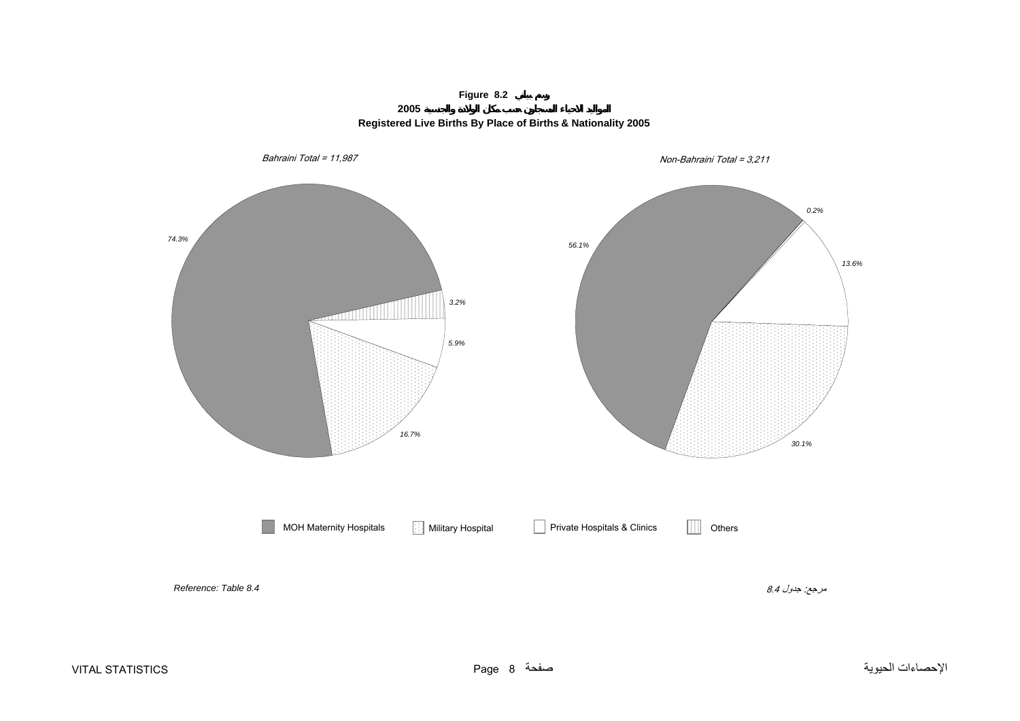**Figure 8.2 2005**



<span id="page-7-0"></span>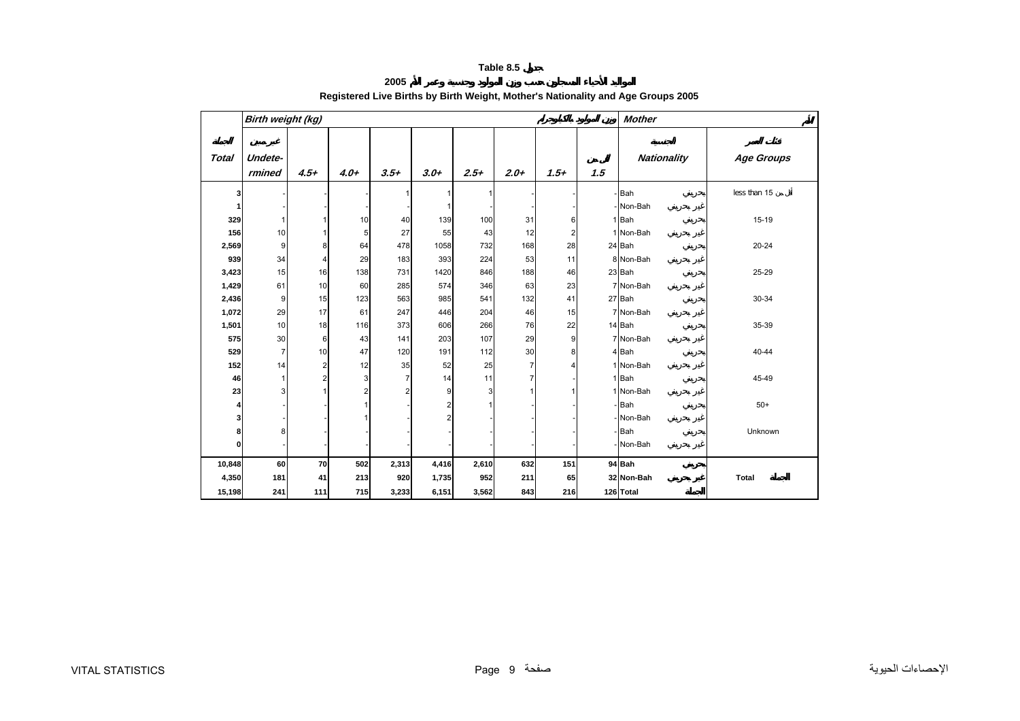## **2005 Registered Live Births by Birth Weight, Mother's Nationality and Age Groups 2005**

<span id="page-8-0"></span>

|              | Birth weight (kg) |                         |        |        |        |        |        |                         |     | <b>Mother</b>      |              |
|--------------|-------------------|-------------------------|--------|--------|--------|--------|--------|-------------------------|-----|--------------------|--------------|
| <b>Total</b> | Undete-<br>rmined | $4.5+$                  | $4.0+$ | $3.5+$ | $3.0+$ | $2.5+$ | $2.0+$ | $1.5+$                  | 1.5 | <b>Nationality</b> | Age Groups   |
| 3            |                   |                         |        |        |        |        |        |                         |     | - Bah              | less than 15 |
| 1            |                   |                         |        |        |        |        |        |                         |     | - Non-Bah          |              |
| 329          |                   |                         | 10     | 40     | 139    | 100    | 31     | 6                       |     | 1 Bah              | $15-19$      |
| 156          | 10                | 1                       | 5      | 27     | 55     | 43     | 12     | $\overline{\mathbf{c}}$ |     | 1 Non-Bah          |              |
| 2,569        | 9                 | 8                       | 64     | 478    | 1058   | 732    | 168    | 28                      |     | 24 Bah             | $20 - 24$    |
| 939          | 34                | 4                       | 29     | 183    | 393    | 224    | 53     | 11                      |     | 8 Non-Bah          |              |
| 3,423        | 15                | 16                      | 138    | 731    | 1420   | 846    | 188    | 46                      |     | 23 Bah             | 25-29        |
| 1,429        | 61                | 10                      | 60     | 285    | 574    | 346    | 63     | 23                      |     | 7 Non-Bah          |              |
| 2,436        | 9                 | 15                      | 123    | 563    | 985    | 541    | 132    | 41                      |     | 27 Bah             | 30-34        |
| 1,072        | 29                | 17                      | 61     | 247    | 446    | 204    | 46     | 15                      |     | 7 Non-Bah          |              |
| 1,501        | 10                | 18                      | 116    | 373    | 606    | 266    | 76     | 22                      |     | 14 Bah             | 35-39        |
| 575          | 30                | 6                       | 43     | 141    | 203    | 107    | 29     | $\overline{9}$          |     | 7 Non-Bah          |              |
| 529          | 7                 | 10                      | 47     | 120    | 191    | 112    | 30     | 8                       |     | 4 Bah              | 40-44        |
| 152          | 14                | $\overline{\mathbf{c}}$ | 12     | 35     | 52     | 25     | 7      |                         |     | 1 Non-Bah          |              |
| 46           |                   | $\overline{\mathbf{c}}$ | 3      | 7      | 14     | 11     | 7      |                         |     | 1 Bah              | 45-49        |
| 23           | 3                 |                         | 2      | 2      | 9      | 3      |        |                         |     | 1 Non-Bah          |              |
| 4            |                   |                         |        |        | 2      |        |        |                         |     | - Bah              | $50+$        |
| 3            |                   |                         |        |        | 2      |        |        |                         |     | - Non-Bah          |              |
| 8            | 8                 |                         |        |        |        |        |        |                         |     | - Bah              | Unknown      |
| 0            |                   |                         |        |        |        |        |        |                         |     | - Non-Bah          |              |
| 10,848       | 60                | 70                      | 502    | 2,313  | 4,416  | 2,610  | 632    | 151                     |     | 94 Bah             |              |
| 4,350        | 181               | 41                      | 213    | 920    | 1,735  | 952    | 211    | 65                      |     | 32 Non-Bah         | <b>Total</b> |
| 15,198       | 241               | 111                     | 715    | 3,233  | 6,151  | 3,562  | 843    | 216                     |     | 126 Total          |              |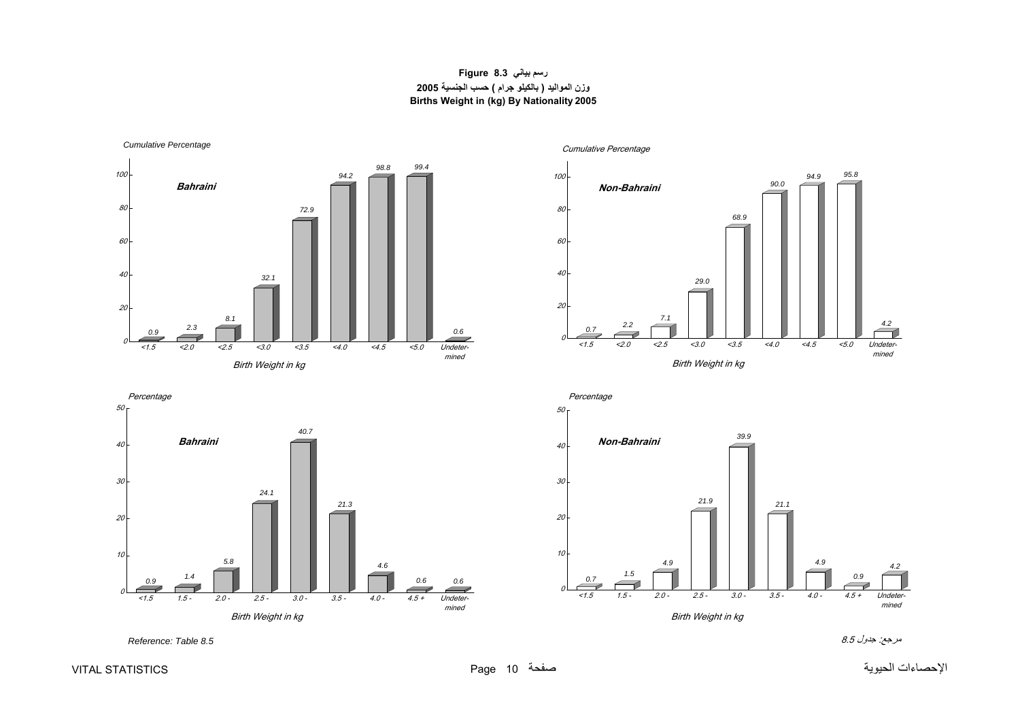## **رسم بياني 8.3 Figure وزن المواليد ( بالكيلو جرام ) حسب الجنسية <sup>2005</sup> Births Weight in (kg) By Nationality 2005**

<span id="page-9-0"></span>*Cumulative Percentage*



*0.9 1.4 5.8 24.1 40.721.34.60.6 0.6*010 20 30 40Undetermined <1.5 1.5 - 2.0 - 2.5 - 3.0 - 3.5 - 4.0 - 4.5 + **Bahraini**Birth Weight in kg





مرجع: جدول 8.5 *8.5 Table :Reference*

الإحصاءات الحيوية صفحة 10 Page STATISTICS VITAL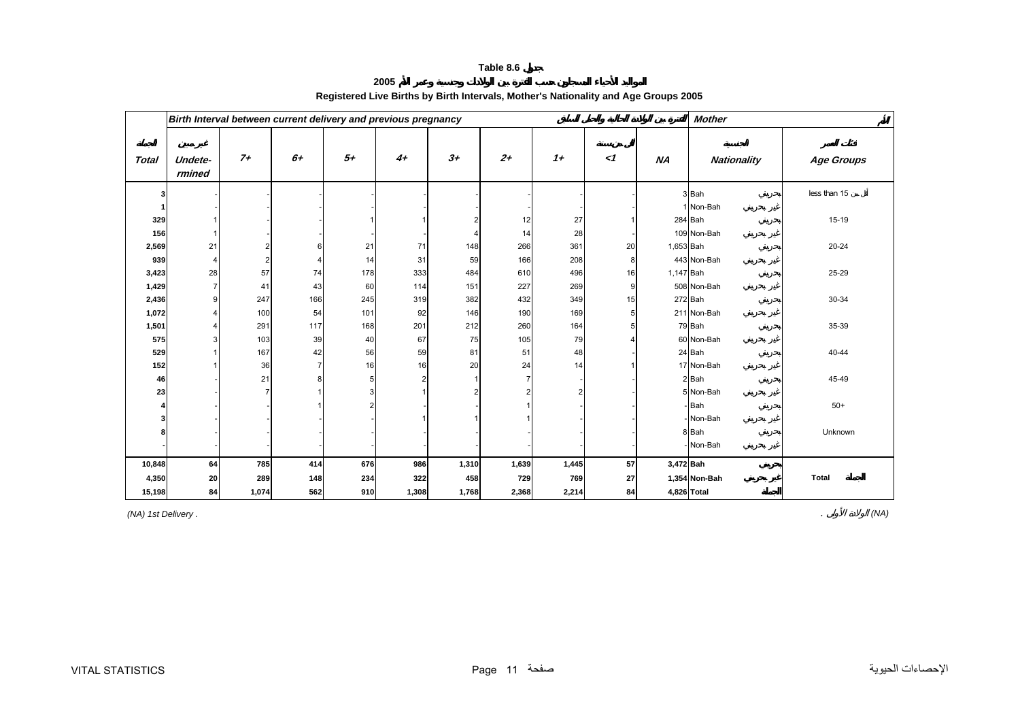**2005**

<span id="page-10-0"></span>

|              |                   |                | Birth Interval between current delivery and previous pregnancy |                |                |       |                |       |          |           | <b>Mother</b> |                   |
|--------------|-------------------|----------------|----------------------------------------------------------------|----------------|----------------|-------|----------------|-------|----------|-----------|---------------|-------------------|
| <b>Total</b> | Undete-<br>rmined | $7+$           | $6+$                                                           | $5+$           | $4+$           | $3+$  | $2^{+}$        | $1+$  | $\leq$ 1 | NA        | Nationality   | <b>Age Groups</b> |
| 3            |                   |                |                                                                |                |                |       |                |       |          |           | 3 Bah         | less than 15      |
|              |                   |                |                                                                |                |                |       |                |       |          |           | 1 Non-Bah     |                   |
| 329          |                   |                |                                                                |                |                | 2     | 12             | 27    |          |           | 284 Bah       | 15-19             |
| 156          |                   |                |                                                                |                |                | Δ     | 14             | 28    |          |           | 109 Non-Bah   |                   |
| 2,569        | 21                | 2              | 6                                                              | 21             | 71             | 148   | 266            | 361   | 20       | 1,653 Bah |               | $20 - 24$         |
| 939          | $\overline{4}$    | $\overline{2}$ |                                                                | 14             | 31             | 59    | 166            | 208   | 8        |           | 443 Non-Bah   |                   |
| 3,423        | 28                | 57             | 74                                                             | 178            | 333            | 484   | 610            | 496   | 16       | 1,147 Bah |               | 25-29             |
| 1,429        |                   | 41             | 43                                                             | 60             | 114            | 151   | 227            | 269   | 9        |           | 508 Non-Bah   |                   |
| 2,436        | 9                 | 247            | 166                                                            | 245            | 319            | 382   | 432            | 349   | 15       |           | 272 Bah       | 30-34             |
| 1,072        |                   | 100            | 54                                                             | 101            | 92             | 146   | 190            | 169   | 5        |           | 211 Non-Bah   |                   |
| 1,501        |                   | 291            | 117                                                            | 168            | 201            | 212   | 260            | 164   |          |           | 79 Bah        | 35-39             |
| 575          |                   | 103            | 39                                                             | 40             | 67             | 75    | 105            | 79    |          |           | 60 Non-Bah    |                   |
| 529          |                   | 167            | 42                                                             | 56             | 59             | 81    | 51             | 48    |          |           | 24 Bah        | 40-44             |
| 152          |                   | 36             | $\overline{7}$                                                 | 16             | 16             | 20    | 24             | 14    |          |           | 17 Non-Bah    |                   |
| 46           |                   | 21             | 8                                                              | 5 <sup>1</sup> | $\overline{2}$ |       | $\overline{7}$ |       |          |           | 2 Bah         | 45-49             |
| 23           |                   |                |                                                                | 3              |                |       |                |       |          |           | 5 Non-Bah     |                   |
|              |                   |                |                                                                |                |                |       |                |       |          |           | Bah           | $50+$             |
| 3            |                   |                |                                                                |                |                |       |                |       |          |           | Non-Bah       |                   |
|              |                   |                |                                                                |                |                |       |                |       |          |           | 8 Bah         | Unknown           |
|              |                   |                |                                                                |                |                |       |                |       |          |           | Non-Bah       |                   |
| 10,848       | 64                | 785            | 414                                                            | 676            | 986            | 1,310 | 1,639          | 1,445 | 57       | 3,472 Bah |               |                   |
| 4,350        | 20                | 289            | 148                                                            | 234            | 322            | 458   | 729            | 769   | 27       |           | 1,354 Non-Bah | <b>Total</b>      |
| 15,198       | 84                | 1,074          | 562                                                            | 910            | 1,308          | 1,768 | 2,368          | 2,214 | 84       |           | 4,826 Total   |                   |

# **Registered Live Births by Birth Intervals, Mother's Nationality and Age Groups 2005**

*(NA) 1st Delivery .* . *(NA)*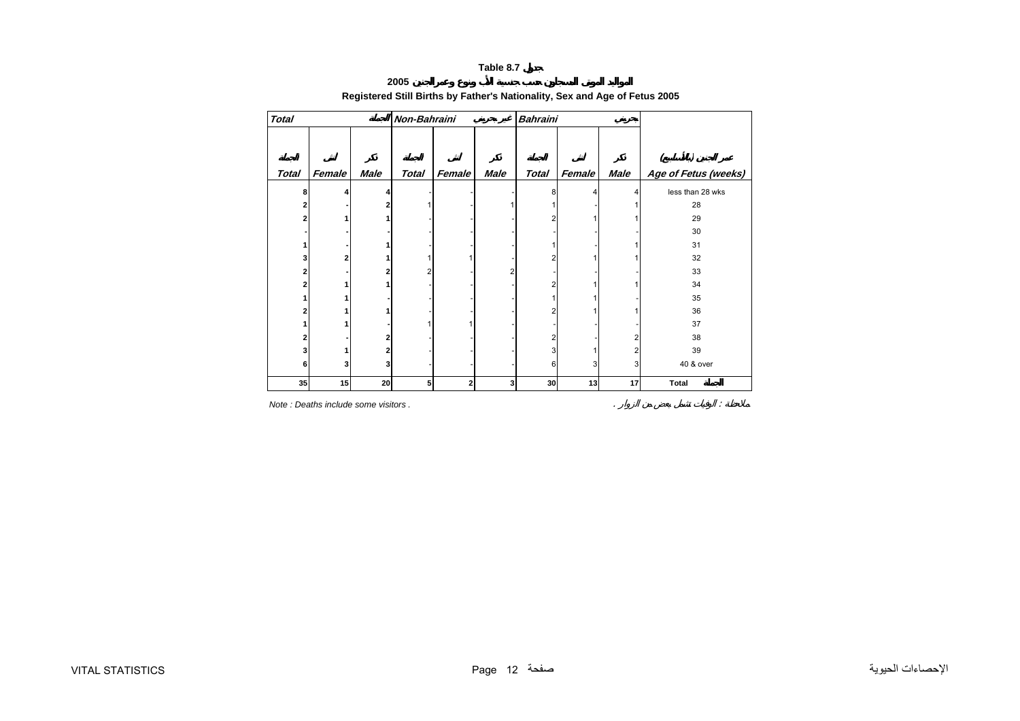## **2005**

# **Registered Still Births by Father's Nationality, Sex and Age of Fetus 2005**

<span id="page-11-0"></span>

| <b>Total</b> |        |             | Non-Bahraini |        |      | <b>Bahraini</b> |        |      |                      |
|--------------|--------|-------------|--------------|--------|------|-----------------|--------|------|----------------------|
|              |        |             |              |        |      |                 |        |      |                      |
|              |        |             |              |        |      |                 |        |      |                      |
| <b>Total</b> | Female | <b>Male</b> | <b>Total</b> | Female | Male | <b>Total</b>    | Female | Male | Age of Fetus (weeks) |
| 8            | Δ      |             |              |        |      | 8               |        | 4    | less than 28 wks     |
| 2            |        |             |              |        |      |                 |        |      | 28                   |
| 2            |        |             |              |        |      | 2               |        |      | 29                   |
|              |        |             |              |        |      |                 |        |      | 30                   |
|              |        |             |              |        |      |                 |        |      | 31                   |
| 3            | 2      |             |              |        |      | 2               |        |      | 32                   |
| 2            |        |             |              |        |      |                 |        |      | 33                   |
| 2            |        |             |              |        |      | 2               |        |      | 34                   |
|              |        |             |              |        |      |                 |        |      | 35                   |
| 2            |        |             |              |        |      | 2               |        |      | 36                   |
|              |        |             |              |        |      |                 |        |      | 37                   |
| 2            |        |             |              |        |      | 2               |        |      | 38                   |
| 3            |        |             |              |        |      | 3               |        |      | 39                   |
| 6            | 3      | 3           |              |        |      | 6               | 3      | 3    | 40 & over            |
| 35           | 15     | 20          | 5            | 2      | 3    | 30              | 13     | 17   | Total                |

*Note : Deaths include some visitors .* . :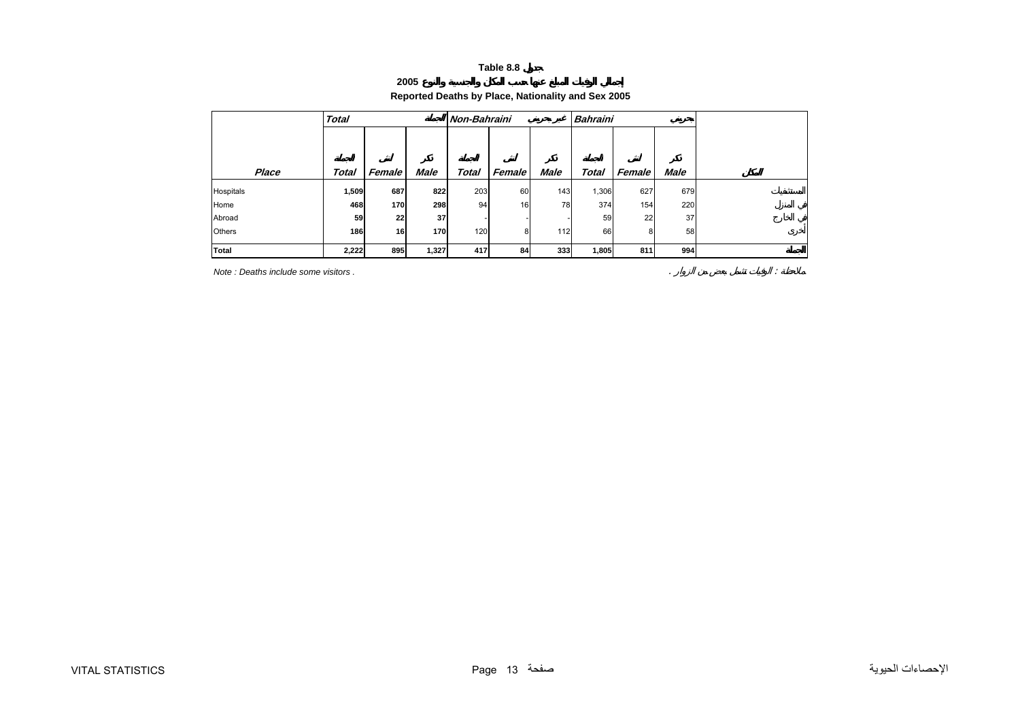#### **2005**

## **Reported Deaths by Place, Nationality and Sex 2005**

<span id="page-12-0"></span>

|           | <b>Total</b> |               |             | Non-Bahraini |        |             | <b>Bahraini</b> |        |             |  |
|-----------|--------------|---------------|-------------|--------------|--------|-------------|-----------------|--------|-------------|--|
|           |              |               |             |              |        |             |                 |        |             |  |
|           |              |               |             |              |        |             |                 |        |             |  |
| Place     | Total        | <b>Female</b> | <b>Male</b> | Total        | Female | <b>Male</b> | Total           | Female | <b>Male</b> |  |
| Hospitals | 1,509        | 687           | 822         | 203          | 60     | 143         | 1,306           | 627    | 679         |  |
| Home      | 468          | 170           | 298         | 94           | 16     | 78          | 374             | 154    | 220         |  |
| Abroad    | 59           | $22 \,$       | 37          |              |        |             | 59              | 22     | 37          |  |
| Others    | 186          | 16            | 170         | 120          | 8      | 112         | 66              | 8      | 58          |  |
| Total     | 2,222        | 895           | 1,327       | 417          | 84     | 333         | 1,805           | 811    | 994         |  |

**Note : Deaths include some visitors .**  $\therefore$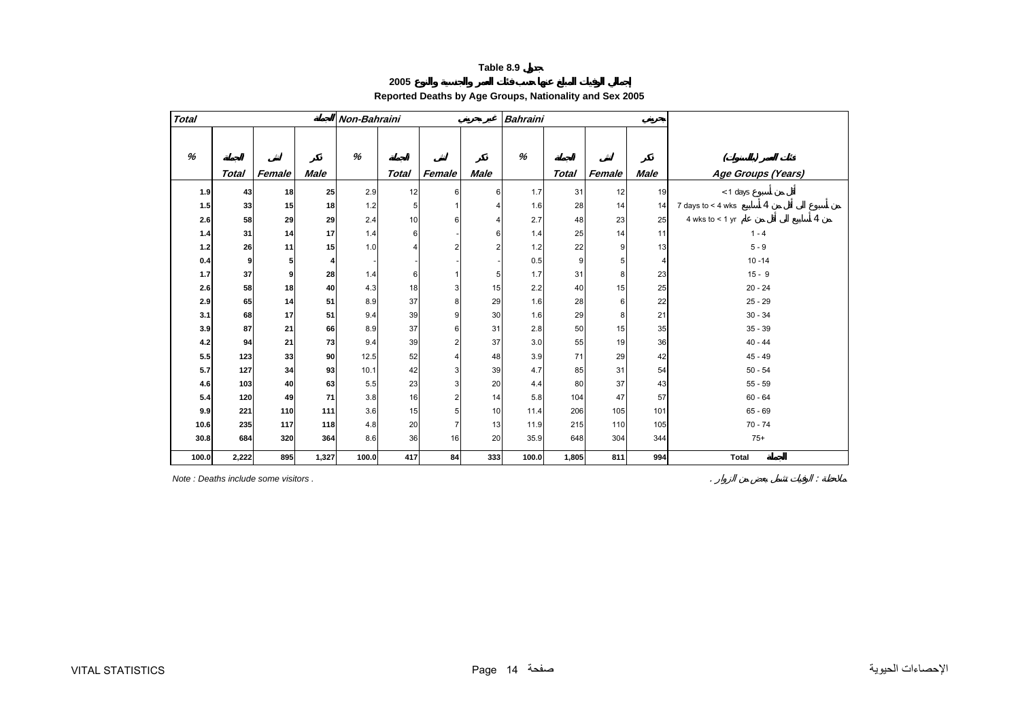**2005**

# **Reported Deaths by Age Groups, Nationality and Sex 2005**

<span id="page-13-0"></span>

| <b>Total</b> |              |        |             | Non-Bahraini |                |                |                | <b>Bahraini</b> |              |        |             |                                       |
|--------------|--------------|--------|-------------|--------------|----------------|----------------|----------------|-----------------|--------------|--------|-------------|---------------------------------------|
| %            |              |        |             | %            |                |                |                | %               |              |        |             |                                       |
|              | <b>Total</b> | Female | <b>Male</b> |              | <b>Total</b>   | Female         | <b>Male</b>    |                 | <b>Total</b> | Female | <b>Male</b> | Age Groups (Years)                    |
| 1.9          | 43           | 18     | 25          | 2.9          | 12             | 6              | 6              | 1.7             | 31           | 12     | 19          | < 1 days                              |
| 1.5          | 33           | 15     | 18          | 1.2          | 5              |                | $\overline{4}$ | 1.6             | 28           | 14     | 14          | $\overline{4}$<br>7 days to $<$ 4 wks |
| 2.6          | 58           | 29     | 29          | 2.4          | 10             | 6              | 4              | 2.7             | 48           | 23     | 25          | 4<br>4 wks to $<$ 1 yr                |
| $1.4$        | 31           | 14     | 17          | 1.4          | 6              |                | 6              | 1.4             | 25           | 14     | 11          | $1 - 4$                               |
| $1.2$        | 26           | 11     | 15          | 1.0          | $\overline{4}$ | $\overline{2}$ | $\overline{2}$ | 1.2             | 22           | 9      | 13          | $5 - 9$                               |
| 0.4          | 9            | 5      | 4           |              |                |                |                | 0.5             | 9            | 5      | 4           | $10 - 14$                             |
| 1.7          | 37           | 9      | 28          | 1.4          | 6              |                | 5              | 1.7             | 31           | 8      | 23          | $15 - 9$                              |
| 2.6          | 58           | 18     | 40          | 4.3          | 18             | 3              | 15             | 2.2             | 40           | 15     | 25          | $20 - 24$                             |
| 2.9          | 65           | 14     | 51          | 8.9          | 37             | 8              | 29             | 1.6             | 28           | 6      | 22          | $25 - 29$                             |
| 3.1          | 68           | 17     | 51          | 9.4          | 39             | 9              | 30             | 1.6             | 29           | 8      | 21          | $30 - 34$                             |
| 3.9          | 87           | 21     | 66          | 8.9          | 37             | 6              | 31             | 2.8             | 50           | 15     | 35          | $35 - 39$                             |
| $4.2\,$      | 94           | 21     | 73          | 9.4          | 39             | $\overline{a}$ | 37             | 3.0             | 55           | 19     | 36          | $40 - 44$                             |
| 5.5          | 123          | 33     | 90          | 12.5         | 52             | $\overline{4}$ | 48             | 3.9             | 71           | 29     | 42          | $45 - 49$                             |
| 5.7          | 127          | 34     | 93          | 10.1         | 42             | 3              | 39             | 4.7             | 85           | 31     | 54          | $50 - 54$                             |
| 4.6          | 103          | 40     | 63          | 5.5          | 23             | 3              | 20             | 4.4             | 80           | 37     | 43          | $55 - 59$                             |
| 5.4          | 120          | 49     | 71          | 3.8          | 16             | $\overline{2}$ | 14             | 5.8             | 104          | 47     | 57          | $60 - 64$                             |
| 9.9          | 221          | 110    | 111         | 3.6          | 15             | 5              | 10             | 11.4            | 206          | 105    | 101         | $65 - 69$                             |
| 10.6         | 235          | 117    | 118         | 4.8          | 20             | $\overline{7}$ | 13             | 11.9            | 215          | 110    | 105         | $70 - 74$                             |
| 30.8         | 684          | 320    | 364         | 8.6          | 36             | 16             | 20             | 35.9            | 648          | 304    | 344         | $75+$                                 |
| 100.0        | 2,222        | 895    | 1,327       | 100.0        | 417            | 84             | 333            | 100.0           | 1,805        | 811    | 994         | Total                                 |

*Note : Deaths include some visitors .* . :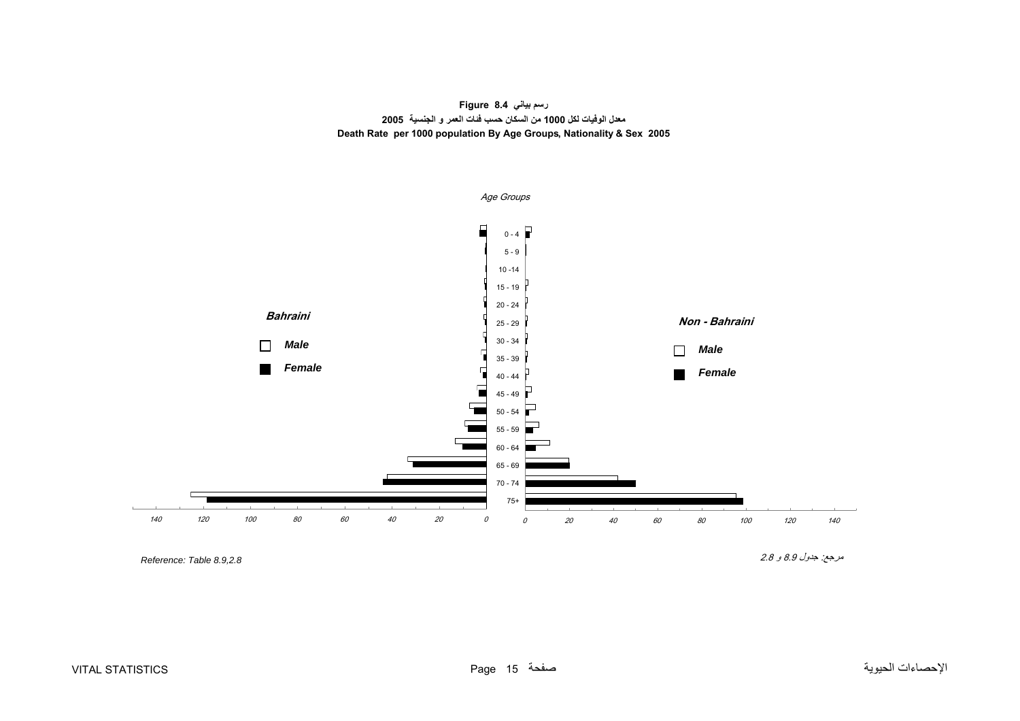**رسم بياني 8.4 Figure معدل الوفيات لكل 1000 من السكان حسب فئات العمر <sup>و</sup> الجنسية 2005 Death Rate per 1000 population By Age Groups, Nationality & Sex 2005**

<span id="page-14-0"></span>

*Reference: Table 8.9,2.8* 

مرجع: جدول 8.9 <sup>و</sup> 2.8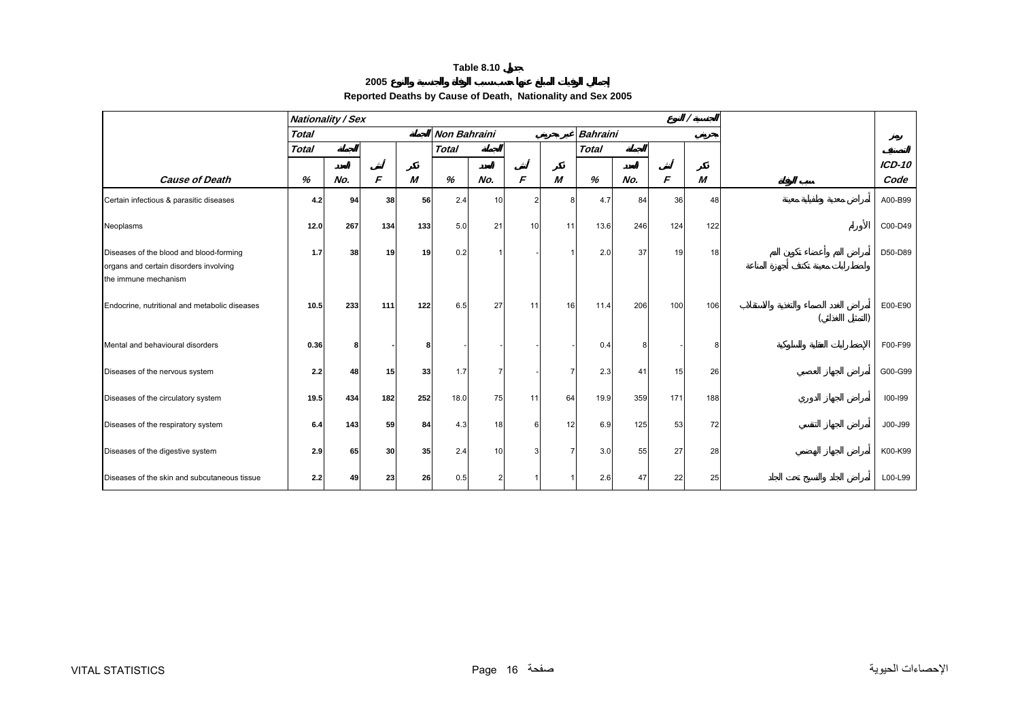#### **2005**

# **Reported Deaths by Cause of Death, Nationality and Sex 2005**

<span id="page-15-0"></span>

|                                                                                                           |              | <b>Nationality / Sex</b> |     |     |                     |                |                 |           |                 |     |     |     |          |
|-----------------------------------------------------------------------------------------------------------|--------------|--------------------------|-----|-----|---------------------|----------------|-----------------|-----------|-----------------|-----|-----|-----|----------|
|                                                                                                           | <b>Total</b> |                          |     |     | <b>Non Bahraini</b> |                |                 |           | <b>Bahraini</b> |     |     |     |          |
|                                                                                                           | <b>Total</b> |                          |     |     | <b>Total</b>        |                |                 |           | <b>Total</b>    |     |     |     |          |
|                                                                                                           |              |                          |     |     |                     |                |                 |           |                 |     |     |     | $ICD-10$ |
| <b>Cause of Death</b>                                                                                     | %            | No.                      | F   | M   | %                   | No.            | F               | M         | %               | No. | F   | M   | Code     |
| Certain infectious & parasitic diseases                                                                   | 4.2          | 94                       | 38  | 56  | 2.4                 | 10             | 2               | 8         | 4.7             | 84  | 36  | 48  | A00-B99  |
| Neoplasms                                                                                                 | 12.0         | 267                      | 134 | 133 | 5.0                 | 21             | 10 <sup>1</sup> | 11        | 13.6            | 246 | 124 | 122 | C00-D49  |
| Diseases of the blood and blood-forming<br>organs and certain disorders involving<br>the immune mechanism | 1.7          | 38                       | 19  | 19  | 0.2                 |                |                 |           | 2.0             | 37  | 19  | 18  | D50-D89  |
| Endocrine, nutritional and metabolic diseases                                                             | 10.5         | 233                      | 111 | 122 | 6.5                 | 27             | 11              | <b>16</b> | 11.4            | 206 | 100 | 106 | E00-E90  |
| Mental and behavioural disorders                                                                          | 0.36         | 8                        |     | 8   |                     |                |                 |           | 0.4             | 8   |     | 8   | F00-F99  |
| Diseases of the nervous system                                                                            | 2.2          | 48                       | 15  | 33  | 1.7                 | 7              |                 |           | 2.3             | 41  | 15  | 26  | G00-G99  |
| Diseases of the circulatory system                                                                        | 19.5         | 434                      | 182 | 252 | 18.0                | 75             | 11              | 64        | 19.9            | 359 | 171 | 188 | 100-199  |
| Diseases of the respiratory system                                                                        | 6.4          | 143                      | 59  | 84  | 4.3                 | 18             | հ               | 12        | 6.9             | 125 | 53  | 72  | J00-J99  |
| Diseases of the digestive system                                                                          | 2.9          | 65                       | 30  | 35  | 2.4                 | 10             |                 |           | 3.0             | 55  | 27  | 28  | K00-K99  |
| Diseases of the skin and subcutaneous tissue                                                              | 2.2          | 49                       | 23  | 26  | 0.5                 | $\overline{2}$ |                 |           | 2.6             | 47  | 22  | 25  | L00-L99  |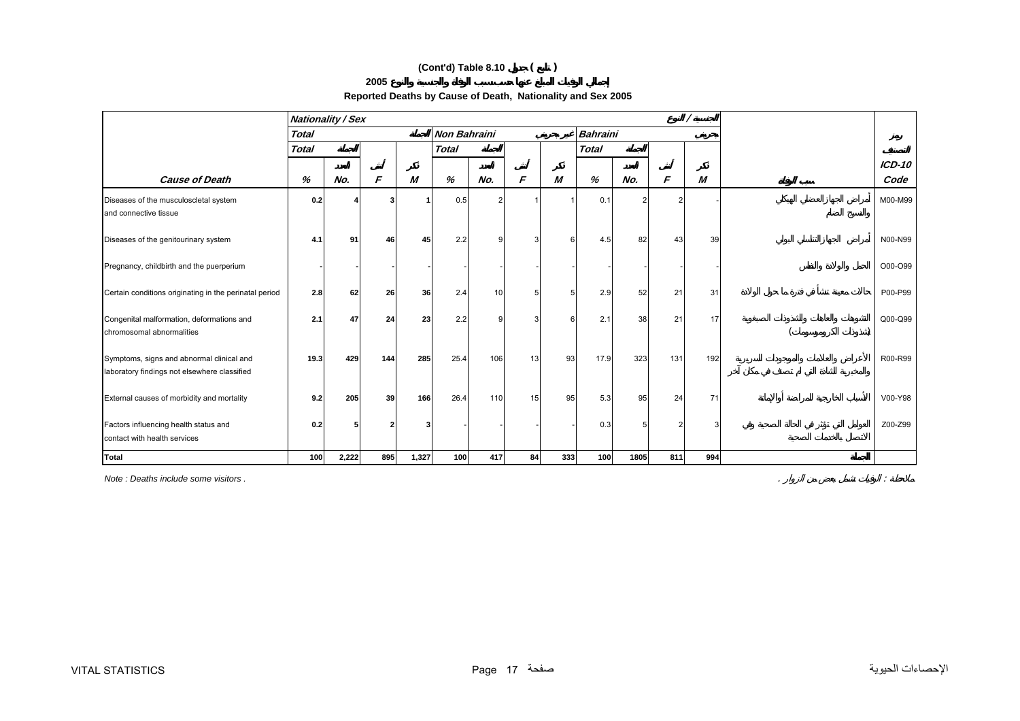# **(Cont'd) Table 8.10 ( )**

#### **2005**

| Reported Deaths by Cause of Death, Nationality and Sex 2005 |
|-------------------------------------------------------------|
|-------------------------------------------------------------|

|                                                                       |              | <b>Nationality / Sex</b> |     |       |                     |                |    |     |                 |      |     |     |          |
|-----------------------------------------------------------------------|--------------|--------------------------|-----|-------|---------------------|----------------|----|-----|-----------------|------|-----|-----|----------|
|                                                                       | <b>Total</b> |                          |     |       | <b>Non Bahraini</b> |                |    |     | <b>Bahraini</b> |      |     |     |          |
|                                                                       | <b>Total</b> |                          |     |       | <b>Total</b>        |                |    |     | <b>Total</b>    |      |     |     |          |
|                                                                       |              |                          |     |       |                     |                |    |     |                 |      |     |     | $ICD-10$ |
| <b>Cause of Death</b>                                                 | %            | No.                      | F   | M     | %                   | No.            | F  | M   | %               | No.  | F   | M   | Code     |
| Diseases of the musculoscletal system                                 | 0.2          |                          | 3   |       | 0.5                 | $\overline{2}$ |    |     | 0.1             |      |     |     | M00-M99  |
| and connective tissue                                                 |              |                          |     |       |                     |                |    |     |                 |      |     |     |          |
|                                                                       |              |                          |     |       |                     |                |    |     |                 |      |     |     |          |
| Diseases of the genitourinary system                                  | 4.1          | 91                       | 46  | 45    | 2.2                 | 9              |    | ĥ   | 4.5             | 82   | 43  | 39  | N00-N99  |
| Pregnancy, childbirth and the puerperium                              |              |                          |     |       |                     |                |    |     |                 |      |     |     | O00-O99  |
|                                                                       |              |                          |     |       |                     |                |    |     |                 |      |     |     |          |
| Certain conditions originating in the perinatal period                | 2.8          | 62                       | 26  | 36    | 2.4                 | 10             | 5  | 5   | 2.9             | 52   | 21  | 31  | P00-P99  |
|                                                                       |              |                          |     |       |                     |                |    |     |                 |      |     |     |          |
| Congenital malformation, deformations and                             | 2.1          | 47                       | 24  | 23    | 2.2                 | 9              | 3  | 6   | 2.1             | 38   | 21  | 17  | Q00-Q99  |
| chromosomal abnormalities                                             |              |                          |     |       |                     |                |    |     |                 |      |     |     |          |
| Symptoms, signs and abnormal clinical and                             | 19.3         | 429                      | 144 | 285   | 25.4                | 106            | 13 | -93 | 17.9            | 323  | 131 | 192 | R00-R99  |
| laboratory findings not elsewhere classified                          |              |                          |     |       |                     |                |    |     |                 |      |     |     |          |
|                                                                       |              |                          |     |       |                     |                |    |     |                 |      |     |     |          |
| External causes of morbidity and mortality                            | 9.2          | 205                      | 39  | 166   | 26.4                | 110            | 15 | 95  | 5.3             | 95   | 24  | 71  | V00-Y98  |
|                                                                       |              |                          |     |       |                     |                |    |     |                 |      |     |     |          |
| Factors influencing health status and<br>contact with health services | 0.2          |                          |     |       |                     |                |    |     | 0.3             | 5    |     | Э   | Z00-Z99  |
|                                                                       |              |                          |     |       |                     |                |    |     |                 |      |     |     |          |
| <b>Total</b>                                                          | 100          | 2,222                    | 895 | 1,327 | 100                 | 417            | 84 | 333 | 100             | 1805 | 811 | 994 |          |

*Note : Deaths include some visitors .* . :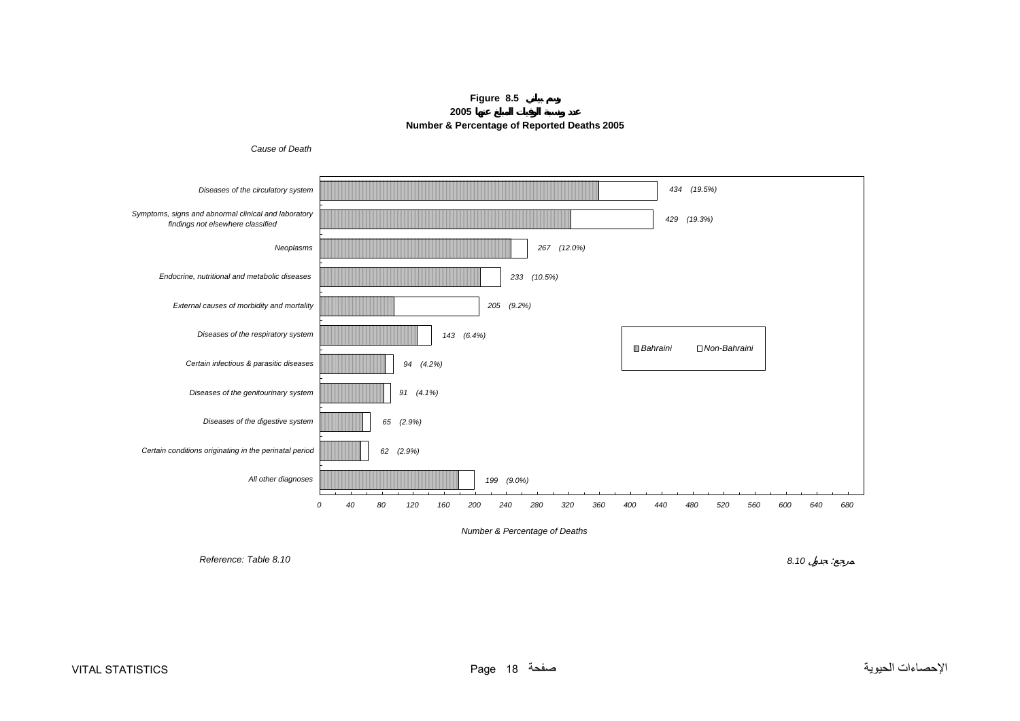**Figure 8.5 2005Number & Percentage of Reported Deaths 2005**



<span id="page-17-0"></span>

*Reference: Table 8.10*

*8.10* :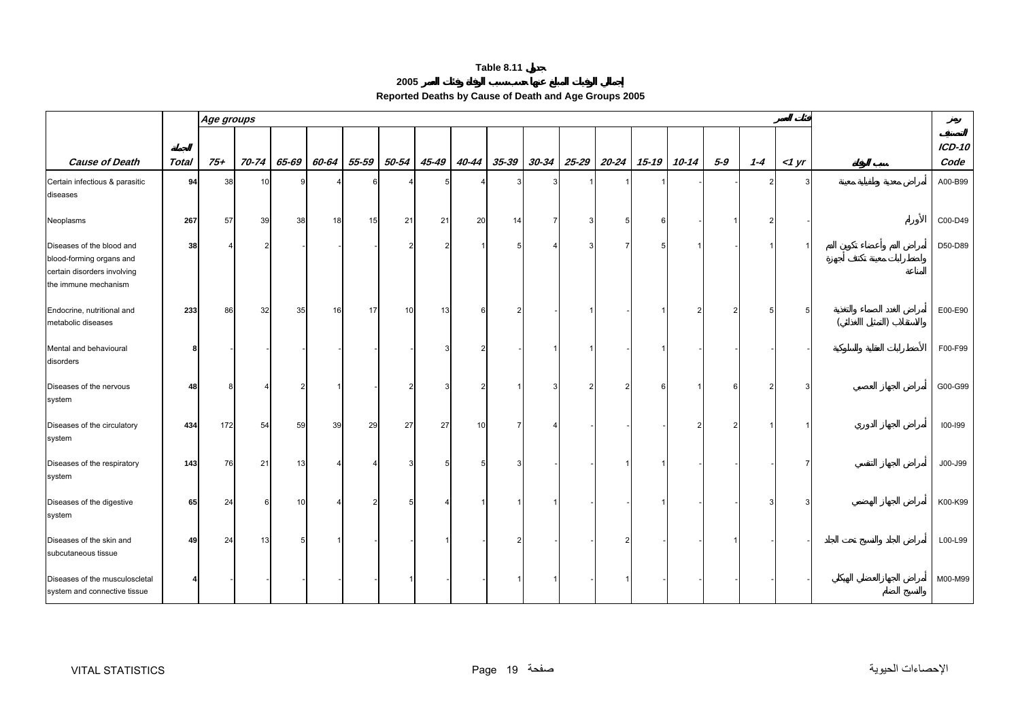**2005**

|  | Reported Deaths by Cause of Death and Age Groups 2005 |  |
|--|-------------------------------------------------------|--|
|--|-------------------------------------------------------|--|

<span id="page-18-0"></span>

|                                                                                                              |              | Age groups |       |       |       |                |       |       |       |       |       |       |       |       |               |     |         |       |                       |
|--------------------------------------------------------------------------------------------------------------|--------------|------------|-------|-------|-------|----------------|-------|-------|-------|-------|-------|-------|-------|-------|---------------|-----|---------|-------|-----------------------|
| <b>Cause of Death</b>                                                                                        | <b>Total</b> | $75+$      | 70-74 | 65-69 | 60-64 | 55-59          | 50-54 | 45-49 | 40-44 | 35-39 | 30-34 | 25-29 | 20-24 | 15-19 | $10 - 14$     | 5-9 | $1 - 4$ | <1 yr | <b>ICD-10</b><br>Code |
| Certain infectious & parasitic<br>diseases                                                                   | 94           | 38         | 10    |       |       | 6              |       |       |       | З     |       |       |       |       |               |     |         |       | A00-B99               |
| Neoplasms                                                                                                    | 267          | 57         | 39    | 38    | 18    | 15             | 21    | 21    | 20    | 14    |       |       |       | 6     |               |     |         |       | C00-D49               |
| Diseases of the blood and<br>blood-forming organs and<br>certain disorders involving<br>the immune mechanism | 38           |            |       |       |       |                |       |       |       |       |       |       |       | 5     |               |     |         |       | D50-D89               |
| Endocrine, nutritional and<br>metabolic diseases                                                             | 233          | 86         | 32    | 35    | 16    | 17             | 10    | 13    |       |       |       |       |       |       | $\mathcal{P}$ | 2   |         |       | E00-E90               |
| Mental and behavioural<br>disorders                                                                          |              |            |       |       |       |                |       |       |       |       |       |       |       |       |               |     |         |       | F00-F99               |
| Diseases of the nervous<br>system                                                                            | 48           |            |       |       |       |                |       |       |       |       |       |       |       |       |               |     |         |       | G00-G99               |
| Diseases of the circulatory<br>system                                                                        | 434          | 172        | 54    | 59    | 39    | 29             | 27    | 27    | 10    |       |       |       |       |       |               |     |         |       | 100-199               |
| Diseases of the respiratory<br>system                                                                        | 143          | 76         | 21    | 13    | Δ     | Δ              |       |       |       |       |       |       |       |       |               |     |         |       | J00-J99               |
| Diseases of the digestive<br>system                                                                          | 65           | 24         | 6     | 10    | Δ     | $\overline{2}$ |       |       |       |       |       |       |       |       |               |     |         |       | K00-K99               |
| Diseases of the skin and<br>subcutaneous tissue                                                              | 49           | 24         | 13    |       |       |                |       |       |       |       |       |       |       |       |               |     |         |       | L00-L99               |
| Diseases of the musculoscletal<br>system and connective tissue                                               |              |            |       |       |       |                |       |       |       |       |       |       |       |       |               |     |         |       | M00-M99               |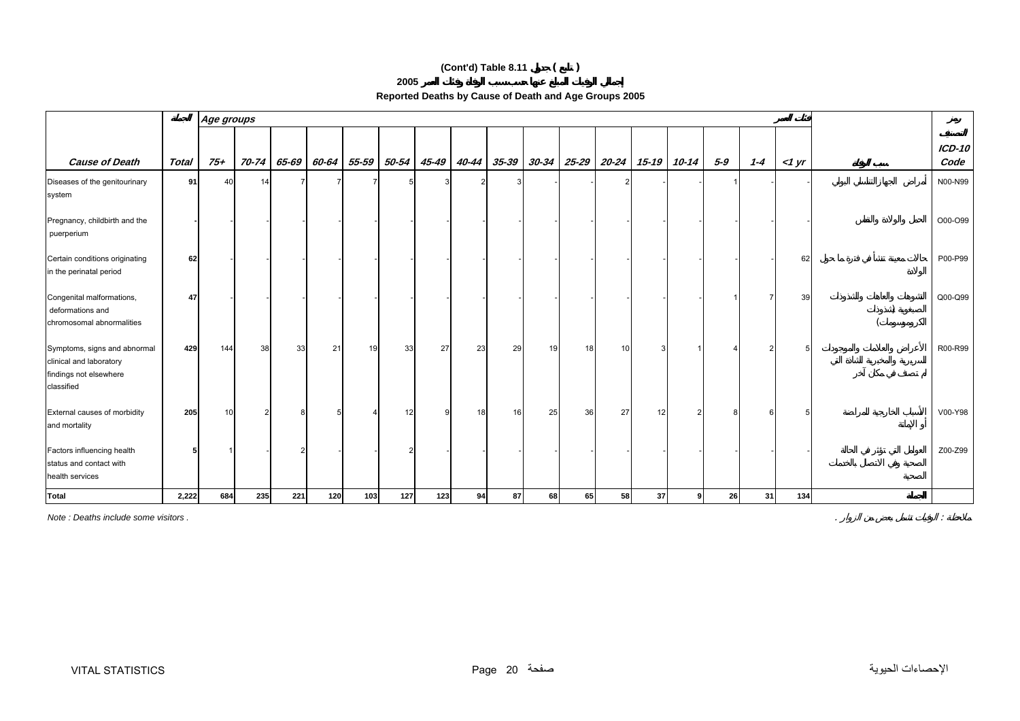# **(Cont'd) Table 8.11 ( )**

**2005** 

| Reported Deaths by Cause of Death and Age Groups 2005 |  |  |
|-------------------------------------------------------|--|--|
|                                                       |  |  |

|                                                                                                 |       | Age groups |       |       |       |                |       |       |       |       |           |       |       |       |       |         |         |                |                       |
|-------------------------------------------------------------------------------------------------|-------|------------|-------|-------|-------|----------------|-------|-------|-------|-------|-----------|-------|-------|-------|-------|---------|---------|----------------|-----------------------|
| <b>Cause of Death</b>                                                                           | Total | 75+        | 70-74 | 65-69 | 60-64 | 55-59          | 50-54 | 45-49 | 40-44 | 35-39 | $30 - 34$ | 25-29 | 20-24 | 15-19 | 10-14 | $5 - 9$ | $1 - 4$ | $1 \text{ yr}$ | <b>ICD-10</b><br>Code |
| Diseases of the genitourinary<br>system                                                         | 91    | 40         | 14    |       |       | $\overline{7}$ |       |       |       |       |           |       |       |       |       |         |         |                | N00-N99               |
| Pregnancy, childbirth and the<br>puerperium                                                     |       |            |       |       |       |                |       |       |       |       |           |       |       |       |       |         |         |                | O00-O99               |
| Certain conditions originating<br>in the perinatal period                                       | 62    |            |       |       |       |                |       |       |       |       |           |       |       |       |       |         |         | 62             | P00-P99               |
| Congenital malformations,<br>deformations and<br>chromosomal abnormalities                      | 47    |            |       |       |       |                |       |       |       |       |           |       |       |       |       |         |         | 39             | Q00-Q99               |
| Symptoms, signs and abnormal<br>clinical and laboratory<br>findings not elsewhere<br>classified | 429   | 144        | 38    | 33    | 21    | 19             | 33    | 27    | 23    | 29    | 19        | 18    | 10    |       |       |         |         |                | R00-R99               |
| External causes of morbidity<br>and mortality                                                   | 205   | 10         |       |       |       | Δ              | 12    |       | 18    | 16    | 25        | 36    | 27    | 12    |       |         |         |                | V00-Y98               |
| Factors influencing health<br>status and contact with<br>health services                        |       |            |       |       |       |                |       |       |       |       |           |       |       |       |       |         |         |                | Z00-Z99               |
| <b>Total</b>                                                                                    | 2,222 | 684        | 235   | 221   | 120   | 103            | 127   | 123   | 94    | 87    | 68        | 65    | 58    | 37    | q     | 26      | 31      | 134            |                       |

*Note : Deaths include some visitors .* . :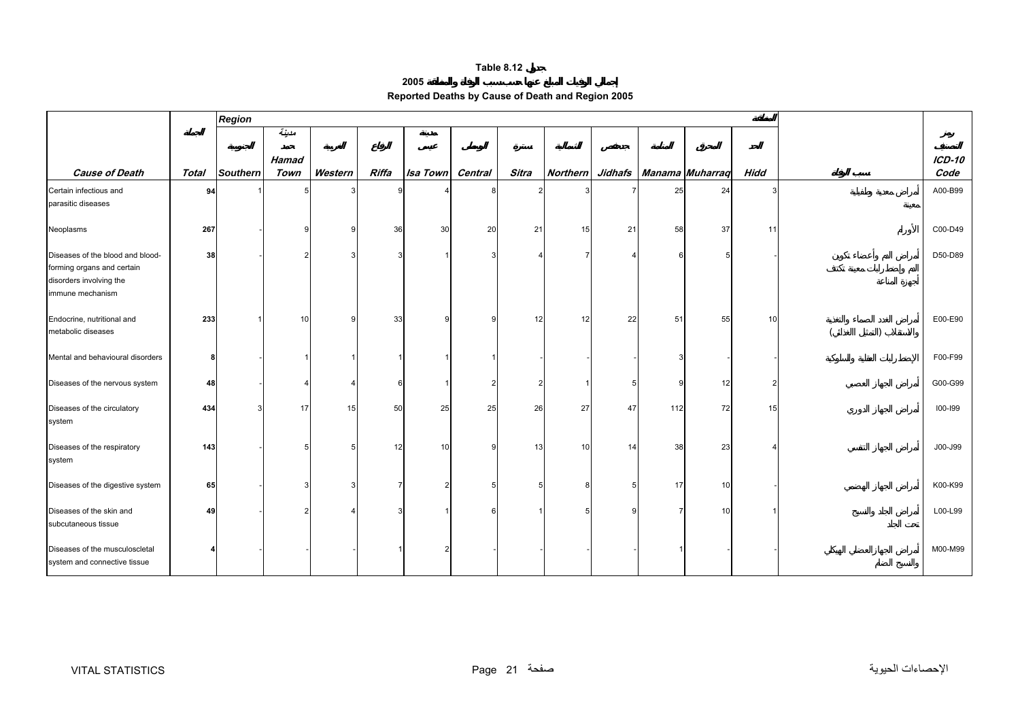| 2005 |
|------|
|------|

| Reported Deaths by Cause of Death and Region 2005 |
|---------------------------------------------------|
|                                                   |

<span id="page-20-0"></span>

|                                                                                                               |              | Region   |       |         |       |                 |         |       |                |    |     |                                  |      |               |
|---------------------------------------------------------------------------------------------------------------|--------------|----------|-------|---------|-------|-----------------|---------|-------|----------------|----|-----|----------------------------------|------|---------------|
|                                                                                                               |              |          | مدينة |         |       |                 |         |       |                |    |     |                                  |      |               |
|                                                                                                               |              |          | Hamad |         |       |                 |         |       |                |    |     |                                  |      | <b>ICD-10</b> |
| <b>Cause of Death</b>                                                                                         | <b>Total</b> | Southern | Town  | Western | Riffa | <b>Isa Town</b> | Central | Sitra |                |    |     | Northern Jidhafs Manama Muharraq | Hidd | Code          |
| Certain infectious and<br>parasitic diseases                                                                  | 94           |          |       |         | 9     |                 | 8       |       |                |    | 25  | 24                               |      | A00-B99       |
| Neoplasms                                                                                                     | 267          |          |       | ٩       | 36    | 30              | 20      | 21    | 15             | 21 | 58  | 37                               | 11   | C00-D49       |
| Diseases of the blood and blood-<br>forming organs and certain<br>disorders involving the<br>immune mechanism | 38           |          |       |         | 3     |                 |         |       | $\overline{7}$ |    |     |                                  |      | D50-D89       |
| Endocrine, nutritional and<br>metabolic diseases                                                              | 233          |          | 10    | ٩       | 33    | ç               | ٩       | 12    | 12             | 22 | 51  | 55                               | 10   | E00-E90       |
| Mental and behavioural disorders                                                                              | 8            |          |       |         |       |                 |         |       |                |    |     |                                  |      | F00-F99       |
| Diseases of the nervous system                                                                                | 48           |          |       |         |       |                 |         |       |                |    |     | 12                               |      | G00-G99       |
| Diseases of the circulatory<br>system                                                                         | 434          |          | 17    | 15      | 50    | 25              | 25      | 26    | 27             | 47 | 112 | 72                               | 15   | $IOO-I99$     |
| Diseases of the respiratory<br>system                                                                         | 143          |          |       |         | 12    | 10              |         | 13    | 10             | 14 | 38  | 23                               |      | J00-J99       |
| Diseases of the digestive system                                                                              | 65           |          |       |         |       |                 |         |       |                |    | 17  | 10                               |      | K00-K99       |
| Diseases of the skin and<br>subcutaneous tissue                                                               | 49           |          |       |         |       |                 |         |       |                |    |     | 10                               |      | L00-L99       |
| Diseases of the musculoscletal<br>system and connective tissue                                                |              |          |       |         |       |                 |         |       |                |    |     |                                  |      | M00-M99       |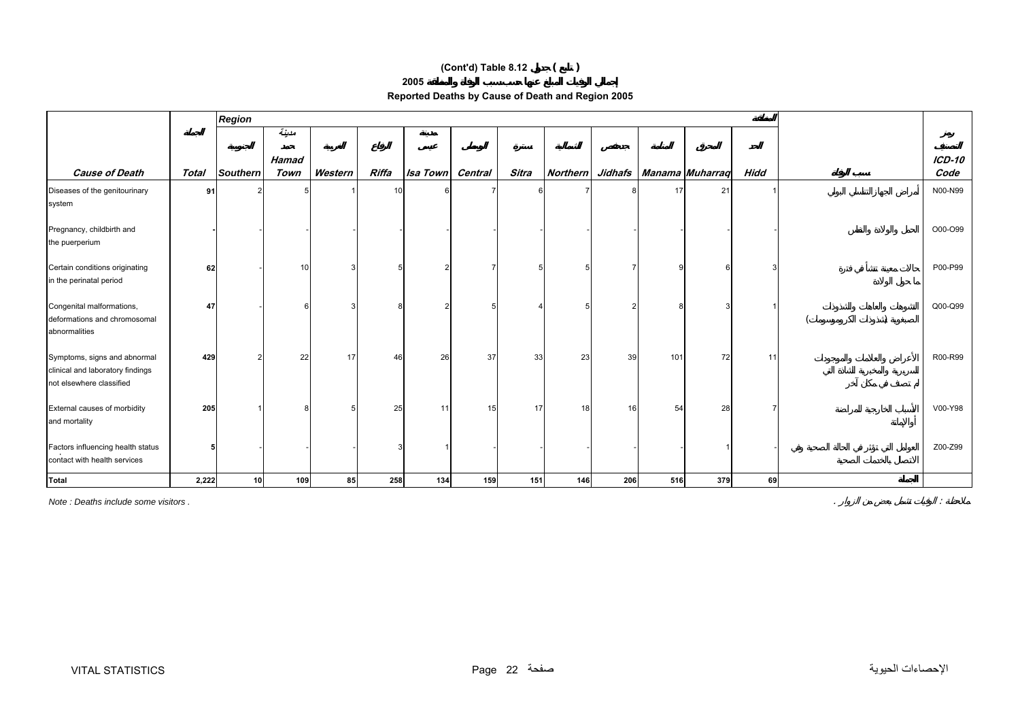# **(Cont'd) Table 8.12 ( )**

#### **2005**

| Reported Deaths by Cause of Death and Region 2005 |  |  |
|---------------------------------------------------|--|--|
|                                                   |  |  |

|                                                                                              |       | <b>Region</b>   |               |         |       |          |         |              |                 |     |     |                             |             |                  |
|----------------------------------------------------------------------------------------------|-------|-----------------|---------------|---------|-------|----------|---------|--------------|-----------------|-----|-----|-----------------------------|-------------|------------------|
|                                                                                              |       |                 | مدينة         |         |       |          |         |              |                 |     |     |                             |             |                  |
| <b>Cause of Death</b>                                                                        | Total | <b>Southern</b> | Hamad<br>Town | Western | Riffa | Isa Town | Central | <b>Sitra</b> | <b>Northern</b> |     |     | Jidhafs   Manama   Muharraq | <b>Hidd</b> | $ICD-10$<br>Code |
| Diseases of the genitourinary<br>system                                                      | 91    |                 |               |         |       |          |         |              |                 |     | 17  | 21                          |             | N00-N99          |
| Pregnancy, childbirth and<br>the puerperium                                                  |       |                 |               |         |       |          |         |              |                 |     |     |                             |             | O00-O99          |
| Certain conditions originating<br>in the perinatal period                                    | 62    |                 | 10            |         | 5     |          |         |              |                 |     |     |                             |             | P00-P99          |
| Congenital malformations,<br>deformations and chromosomal<br>abnormalities                   | 47    |                 |               |         | 8     |          |         |              |                 |     |     |                             |             | Q00-Q99          |
| Symptoms, signs and abnormal<br>clinical and laboratory findings<br>not elsewhere classified | 429   |                 | 22            | 17      | 46    | 26       | 37      | 33           | 23              | 39  | 101 | 72                          | 11          | R00-R99          |
| External causes of morbidity<br>and mortality                                                | 205   |                 |               |         | 25    | 11       | 15      | 17           | 18              | 16  | 54  | 28                          |             | V00-Y98          |
| Factors influencing health status<br>contact with health services                            |       |                 |               |         | 3     |          |         |              |                 |     |     |                             |             | Z00-Z99          |
| Total                                                                                        | 2,222 | 10 <sup>1</sup> | 109           | 85      | 258   | 134      | 159     | 151          | 146             | 206 | 516 | 379                         | 69          |                  |

*Note : Deaths include some visitors .* . :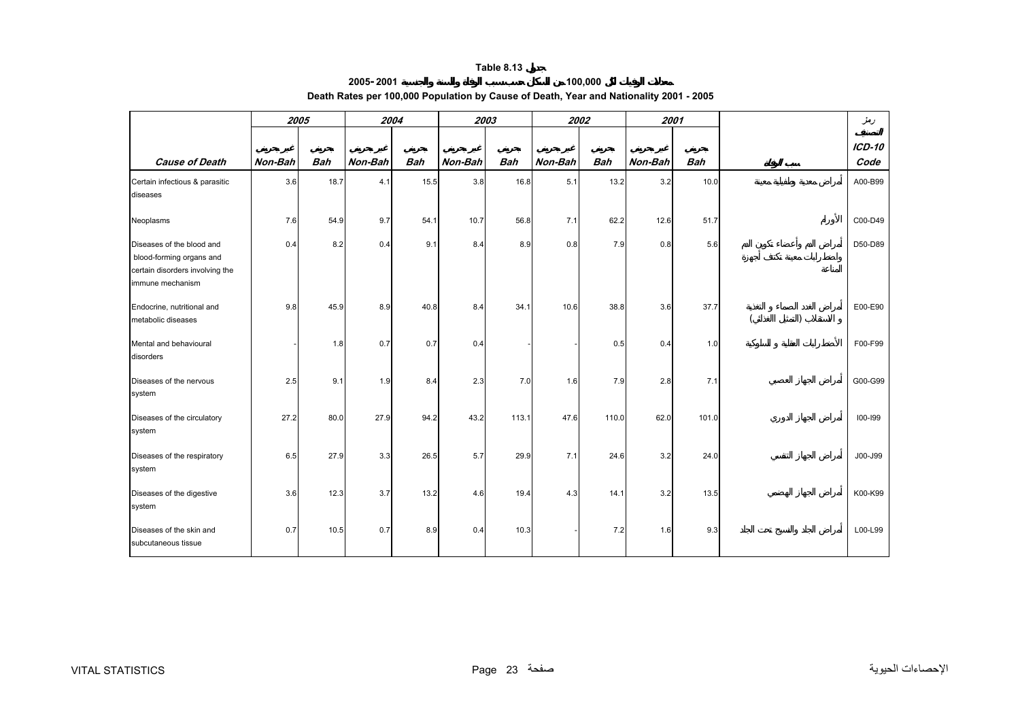**2005-2001**

# **100,000 Death Rates per 100,000 Population by Cause of Death, Year and Nationality 2001 - 2005**

<span id="page-22-0"></span>

|                                                                                                              | 2005    |            | 2004    |            | 2003    |            | 2002    |            | 2001    |            |  | دمز              |
|--------------------------------------------------------------------------------------------------------------|---------|------------|---------|------------|---------|------------|---------|------------|---------|------------|--|------------------|
| <b>Cause of Death</b>                                                                                        | Non-Bah | <b>Bah</b> | Non-Bah | <b>Bah</b> | Non-Bah | <b>Bah</b> | Non-Bah | <b>Bah</b> | Non-Bah | <b>Bah</b> |  | $ICD-10$<br>Code |
| Certain infectious & parasitic<br>diseases                                                                   | 3.6     | 18.7       | 4.1     | 15.5       | 3.8     | 16.8       | 5.1     | 13.2       | 3.2     | 10.0       |  | A00-B99          |
| Neoplasms                                                                                                    | 7.6     | 54.9       | 9.7     | 54.1       | 10.7    | 56.8       | 7.1     | 62.2       | 12.6    | 51.7       |  | C00-D49          |
| Diseases of the blood and<br>blood-forming organs and<br>certain disorders involving the<br>immune mechanism | 0.4     | 8.2        | 0.4     | 9.1        | 8.4     | 8.9        | 0.8     | 7.9        | 0.8     | 5.6        |  | D50-D89          |
| Endocrine, nutritional and<br>metabolic diseases                                                             | 9.8     | 45.9       | 8.9     | 40.8       | 8.4     | 34.1       | 10.6    | 38.8       | 3.6     | 37.7       |  | E00-E90          |
| Mental and behavioural<br>disorders                                                                          |         | 1.8        | 0.7     | 0.7        | 0.4     |            |         | 0.5        | 0.4     | 1.0        |  | F00-F99          |
| Diseases of the nervous<br>system                                                                            | 2.5     | 9.1        | 1.9     | 8.4        | 2.3     | 7.0        | 1.6     | 7.9        | 2.8     | 7.1        |  | G00-G99          |
| Diseases of the circulatory<br>system                                                                        | 27.2    | 80.0       | 27.9    | 94.2       | 43.2    | 113.1      | 47.6    | 110.0      | 62.0    | 101.0      |  | 100-199          |
| Diseases of the respiratory<br>system                                                                        | 6.5     | 27.9       | 3.3     | 26.5       | 5.7     | 29.9       | 7.1     | 24.6       | 3.2     | 24.0       |  | J00-J99          |
| Diseases of the digestive<br>system                                                                          | 3.6     | 12.3       | 3.7     | 13.2       | 4.6     | 19.4       | 4.3     | 14.1       | 3.2     | 13.5       |  | K00-K99          |
| Diseases of the skin and<br>subcutaneous tissue                                                              | 0.7     | 10.5       | 0.7     | 8.9        | 0.4     | 10.3       |         | 7.2        | 1.6     | 9.3        |  | L00-L99          |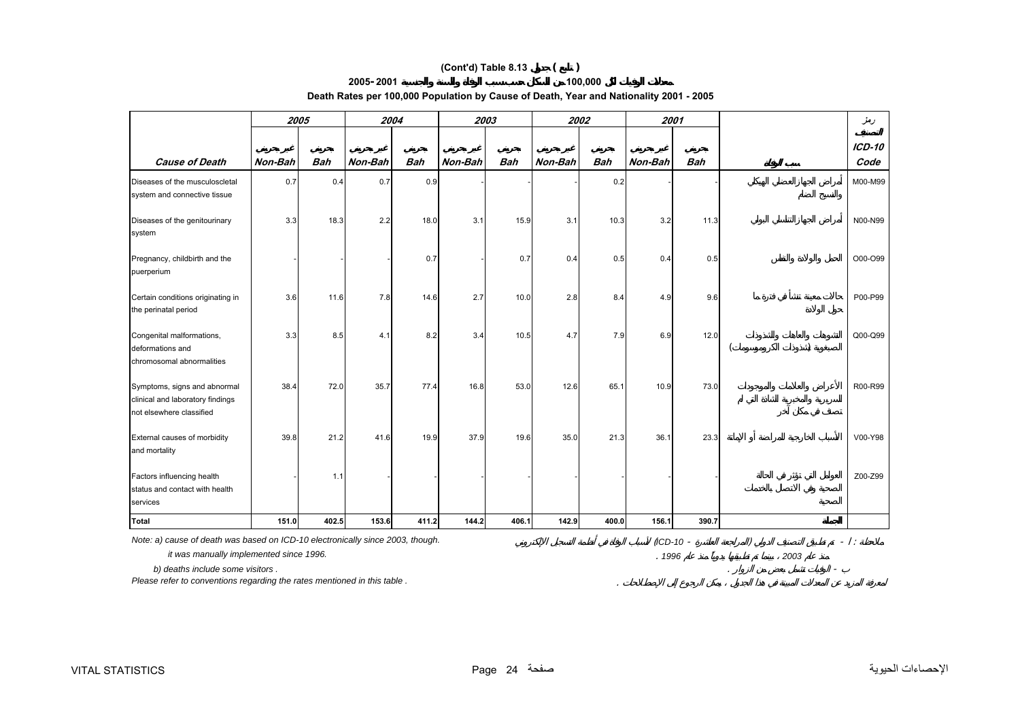## **(Cont'd) Table 8.13 ( )**

## **2005-2001**

**Death Rates per 100,000 Population by Cause of Death, Year and Nationality 2001 - 2005** 

**100,000**

|                                                                                              | 2005    |            | 2004    |            | 2003    |            | 2002    |            | 2001    |            | دمز                   |
|----------------------------------------------------------------------------------------------|---------|------------|---------|------------|---------|------------|---------|------------|---------|------------|-----------------------|
| <b>Cause of Death</b>                                                                        | Non-Bah | <b>Bah</b> | Non-Bah | <b>Bah</b> | Non-Bah | <b>Bah</b> | Non-Bah | <b>Bah</b> | Non-Bah | <b>Bah</b> | <b>ICD-10</b><br>Code |
| Diseases of the musculoscletal<br>system and connective tissue                               | 0.7     | 0.4        | 0.7     | 0.9        |         |            |         | 0.2        |         |            | M00-M99               |
| Diseases of the genitourinary<br>system                                                      | 3.3     | 18.3       | 2.2     | 18.0       | 3.1     | 15.9       | 3.1     | 10.3       | 3.2     | 11.3       | N00-N99               |
| Pregnancy, childbirth and the<br>puerperium                                                  |         |            |         | 0.7        |         | 0.7        | 0.4     | 0.5        | 0.4     | 0.5        | O00-O99               |
| Certain conditions originating in<br>the perinatal period                                    | 3.6     | 11.6       | 7.8     | 14.6       | 2.7     | 10.0       | 2.8     | 8.4        | 4.9     | 9.6        | P00-P99               |
| Congenital malformations,<br>deformations and<br>chromosomal abnormalities                   | 3.3     | 8.5        | 4.1     | 8.2        | 3.4     | 10.5       | 4.7     | 7.9        | 6.9     | 12.0       | Q00-Q99               |
| Symptoms, signs and abnormal<br>clinical and laboratory findings<br>not elsewhere classified | 38.4    | 72.0       | 35.7    | 77.4       | 16.8    | 53.0       | 12.6    | 65.1       | 10.9    | 73.0       | R00-R99               |
| External causes of morbidity<br>and mortality                                                | 39.8    | 21.2       | 41.6    | 19.9       | 37.9    | 19.6       | 35.0    | 21.3       | 36.1    | 23.3       | V00-Y98               |
| Factors influencing health<br>status and contact with health<br>services                     |         | 1.1        |         |            |         |            |         |            |         |            | Z00-Z99               |
| <b>Total</b>                                                                                 | 151.0   | 402.5      | 153.6   | 411.2      | 144.2   | 406.1      | 142.9   | 400.0      | 156.1   | 390.7      |                       |

 *it was manually implemented since 1996.* .

 *b) deaths include some visitors .* . -

*Please refer to conventions regarding the rates mentioned in this table .* .

*1996*

 $\sim$ 

*2003*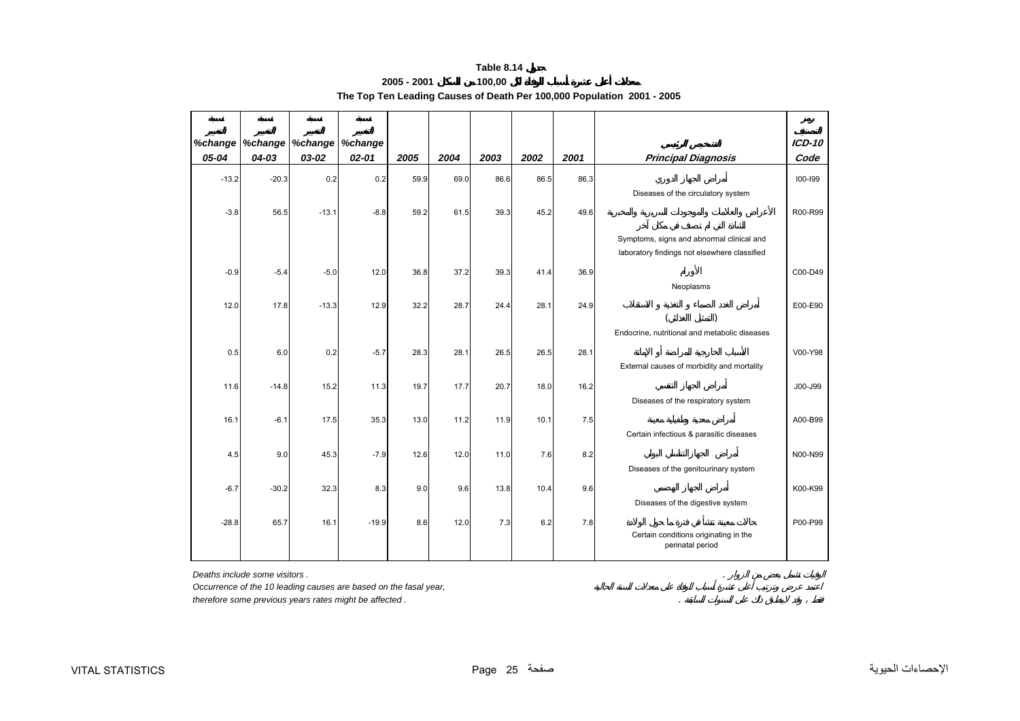#### **2005 - 2001100,00**

**The Top Ten Leading Causes of Death Per 100,000 Population 2001 - 2005** 

<span id="page-24-0"></span>

| %change |           | %change   %change   %change |           |      |      |      |      |      |                                                                                           | $ICD-10$ |
|---------|-----------|-----------------------------|-----------|------|------|------|------|------|-------------------------------------------------------------------------------------------|----------|
| 05-04   | $04 - 03$ | 03-02                       | $02 - 01$ | 2005 | 2004 | 2003 | 2002 | 2001 | <b>Principal Diagnosis</b>                                                                | Code     |
| $-13.2$ | $-20.3$   | 0.2                         | 0.2       | 59.9 | 69.0 | 86.6 | 86.5 | 86.3 | Diseases of the circulatory system                                                        | 100-199  |
| $-3.8$  | 56.5      | $-13.1$                     | $-8.8$    | 59.2 | 61.5 | 39.3 | 45.2 | 49.6 |                                                                                           | R00-R99  |
|         |           |                             |           |      |      |      |      |      | Symptoms, signs and abnormal clinical and<br>laboratory findings not elsewhere classified |          |
| $-0.9$  | $-5.4$    | $-5.0$                      | 12.0      | 36.8 | 37.2 | 39.3 | 41.4 | 36.9 | Neoplasms                                                                                 | C00-D49  |
| 12.0    | 17.8      | $-13.3$                     | 12.9      | 32.2 | 28.7 | 24.4 | 28.1 | 24.9 |                                                                                           | E00-E90  |
|         |           |                             |           |      |      |      |      |      | Endocrine, nutritional and metabolic diseases                                             |          |
| 0.5     | 6.0       | 0.2                         | $-5.7$    | 28.3 | 28.1 | 26.5 | 26.5 | 28.1 | External causes of morbidity and mortality                                                | V00-Y98  |
| 11.6    | $-14.8$   | 15.2                        | 11.3      | 19.7 | 17.7 | 20.7 | 18.0 | 16.2 | Diseases of the respiratory system                                                        | J00-J99  |
| 16.1    | $-6.1$    | 17.5                        | 35.3      | 13.0 | 11.2 | 11.9 | 10.1 | 7.5  |                                                                                           | A00-B99  |
| 4.5     | 9.0       | 45.3                        | $-7.9$    | 12.6 | 12.0 | 11.0 | 7.6  | 8.2  | Certain infectious & parasitic diseases                                                   | N00-N99  |
|         |           |                             |           |      |      |      |      |      | Diseases of the genitourinary system                                                      |          |
| $-6.7$  | $-30.2$   | 32.3                        | 8.3       | 9.0  | 9.6  | 13.8 | 10.4 | 9.6  | Diseases of the digestive system                                                          | K00-K99  |
| $-28.8$ | 65.7      | 16.1                        | $-19.9$   | 8.6  | 12.0 | 7.3  | 6.2  | 7.8  | Certain conditions originating in the<br>perinatal period                                 | P00-P99  |

*Deaths include some visitors .* .

*Occurrence of the 10 leading causes are based on the fasal year,*

*therefore some previous years rates might be affected .* .

 $\sim$   $\sim$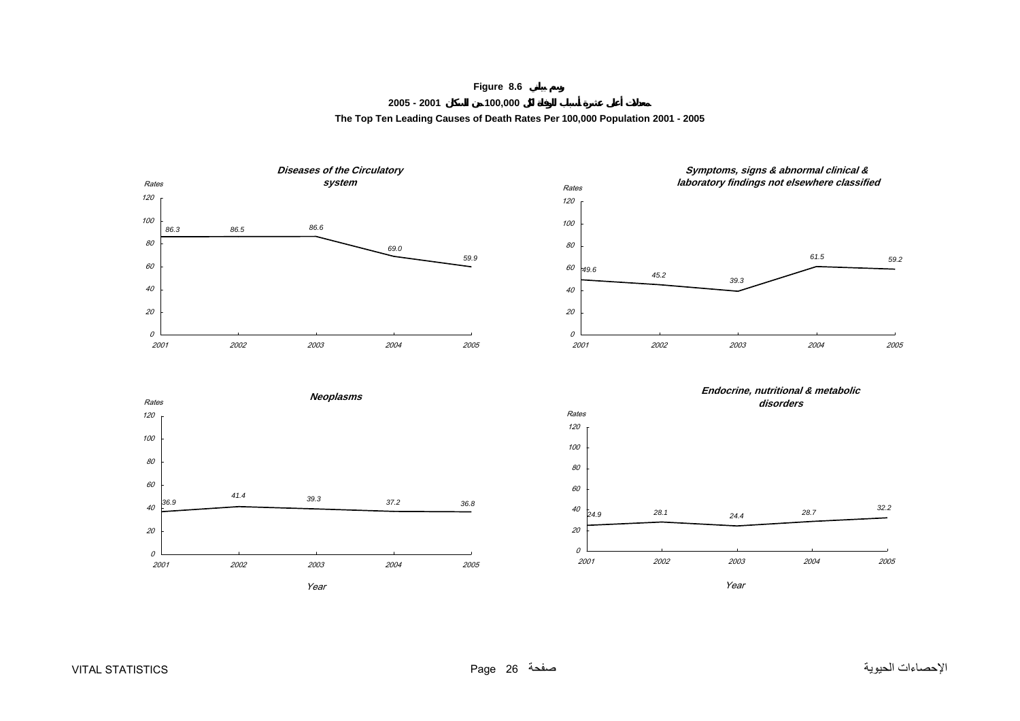**Figure 8.6**

#### **2005 - 2001 100,000 The Top Ten Leading Causes of Death Rates Per 100,000 Population 2001 - 2005**

<span id="page-25-0"></span>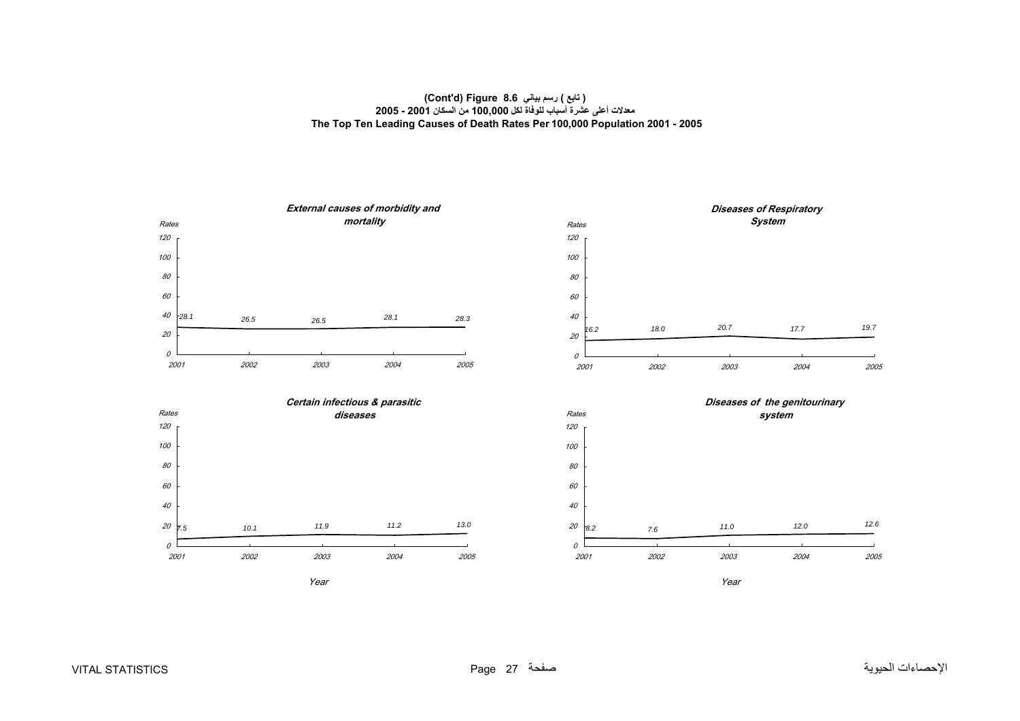## **( تابع ) رسم بياني 8.6 Figure) d'Cont( معدلات أعلى عشرة أسباب للوفاة لكل 100,000 من السكان 2001 - 2005 The Top Ten Leading Causes of Death Rates Per 100,000 Population 2001 - 2005**

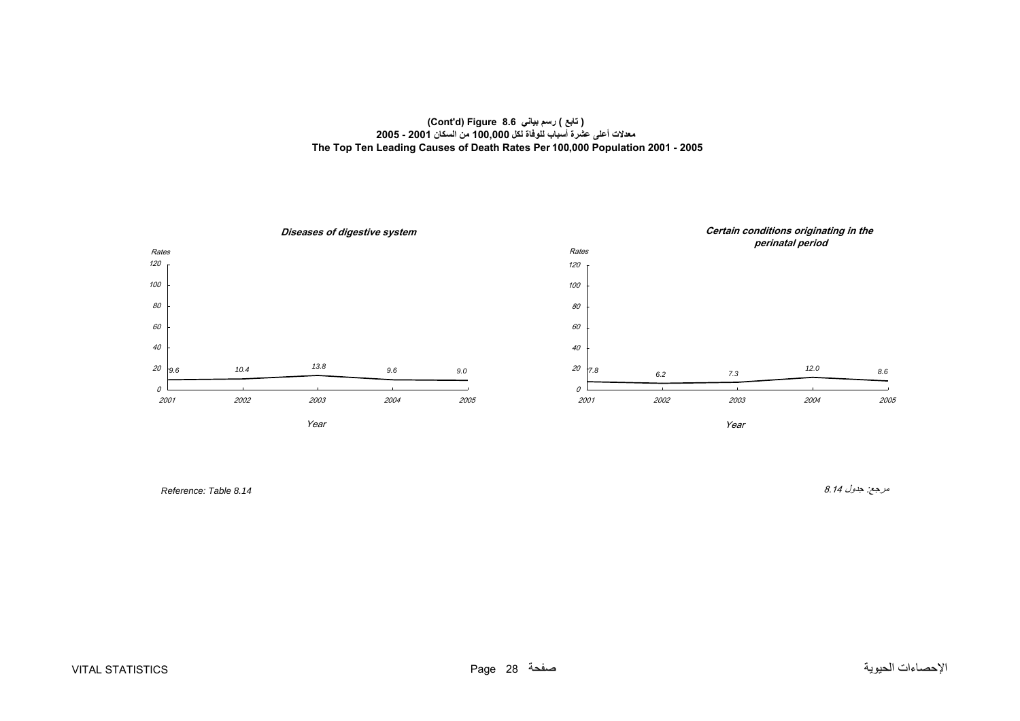## **( تابع ) رسم بياني 8.6 Figure) d'Cont( معدلات أعلى عشرة أسباب للوفاة لكل 100,000 من السكان 2001 - 2005 The Top Ten Leading Causes of Death Rates Per 100,000 Population 2001 - 2005**



مرجع: جدول 8.14 *8.14 Table :Reference*